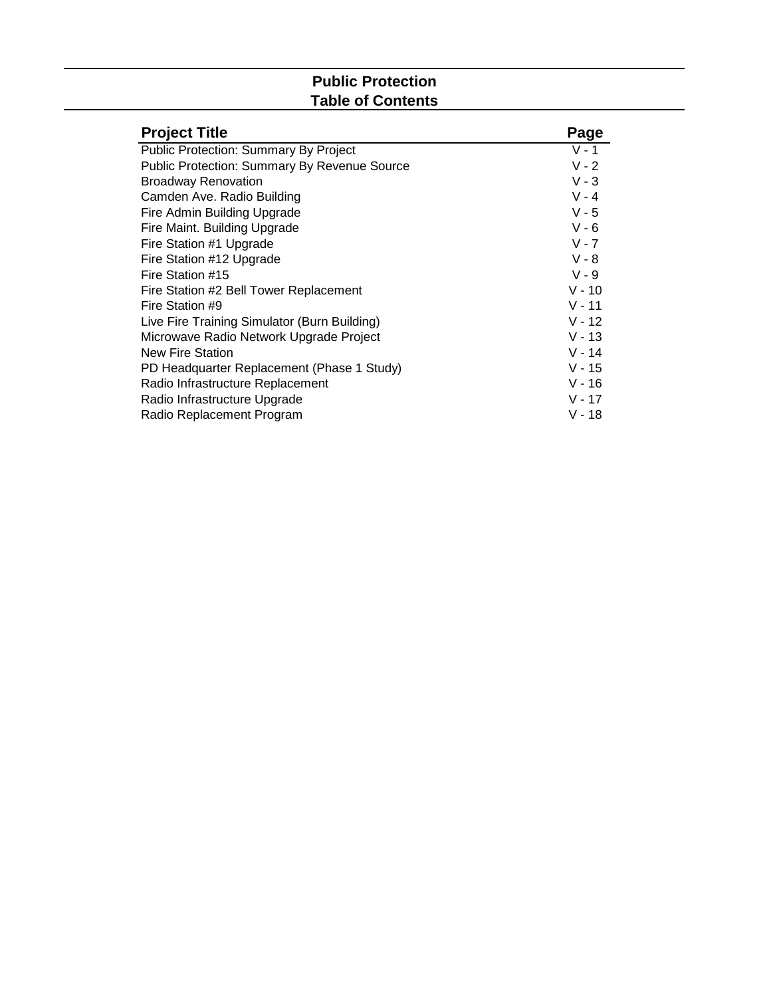# **Public Protection Table of Contents**

| <b>Project Title</b>                                | Page     |
|-----------------------------------------------------|----------|
| <b>Public Protection: Summary By Project</b>        | $V - 1$  |
| <b>Public Protection: Summary By Revenue Source</b> | $V - 2$  |
| <b>Broadway Renovation</b>                          | $V - 3$  |
| Camden Ave. Radio Building                          | $V - 4$  |
| Fire Admin Building Upgrade                         | $V - 5$  |
| Fire Maint. Building Upgrade                        | $V - 6$  |
| Fire Station #1 Upgrade                             | $V - 7$  |
| Fire Station #12 Upgrade                            | $V - 8$  |
| Fire Station #15                                    | $V - 9$  |
| Fire Station #2 Bell Tower Replacement              | $V - 10$ |
| Fire Station #9                                     | $V - 11$ |
| Live Fire Training Simulator (Burn Building)        | $V - 12$ |
| Microwave Radio Network Upgrade Project             | $V - 13$ |
| <b>New Fire Station</b>                             | $V - 14$ |
| PD Headquarter Replacement (Phase 1 Study)          | $V - 15$ |
| Radio Infrastructure Replacement                    | $V - 16$ |
| Radio Infrastructure Upgrade                        | $V - 17$ |
| Radio Replacement Program                           | $V - 18$ |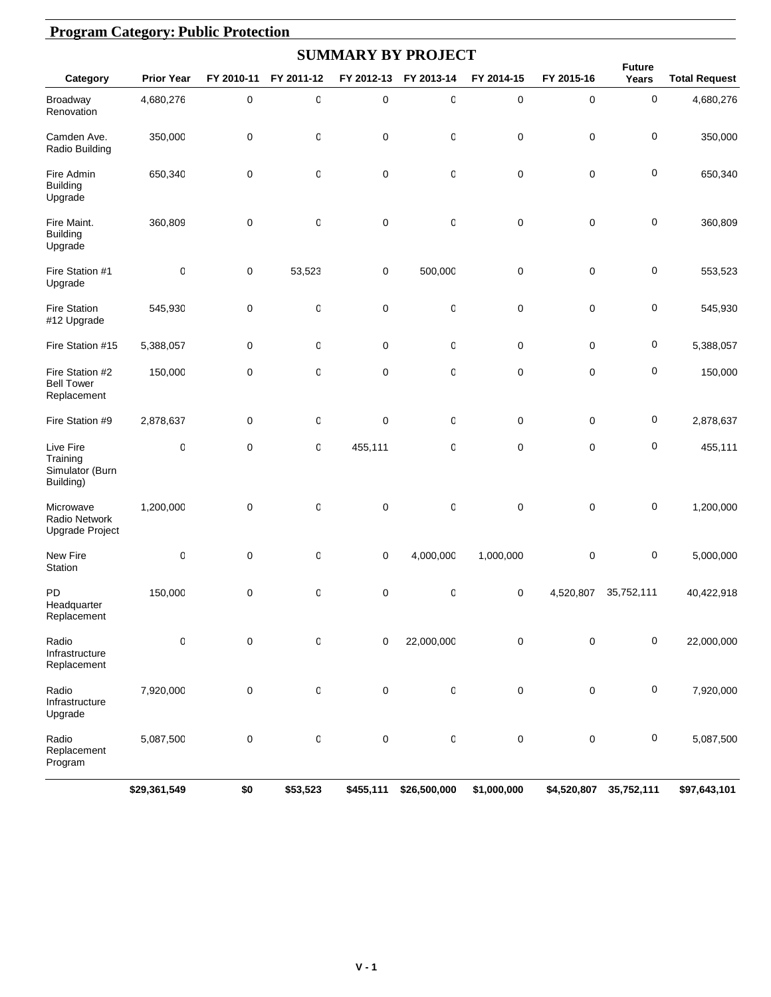| <b>Program Category: Public Protection</b>            |                   |             |              |             |                           |             |             |                      |                      |
|-------------------------------------------------------|-------------------|-------------|--------------|-------------|---------------------------|-------------|-------------|----------------------|----------------------|
|                                                       |                   |             |              |             | <b>SUMMARY BY PROJECT</b> |             |             | <b>Future</b>        |                      |
| Category                                              | <b>Prior Year</b> | FY 2010-11  | FY 2011-12   | FY 2012-13  | FY 2013-14                | FY 2014-15  | FY 2015-16  | Years                | <b>Total Request</b> |
| Broadway<br>Renovation                                | 4,680,276         | $\pmb{0}$   | 0            | $\pmb{0}$   | 0                         | 0           | 0           | 0                    | 4,680,276            |
| Camden Ave.<br>Radio Building                         | 350,000           | $\mathbf 0$ | 0            | $\mathbf 0$ | 0                         | 0           | 0           | 0                    | 350,000              |
| Fire Admin<br><b>Building</b><br>Upgrade              | 650,340           | $\mathbf 0$ | 0            | $\pmb{0}$   | 0                         | 0           | $\pmb{0}$   | $\mathbf 0$          | 650,340              |
| Fire Maint.<br><b>Building</b><br>Upgrade             | 360,809           | 0           | $\mathsf 0$  | $\mathbf 0$ | 0                         | 0           | 0           | $\mathbf 0$          | 360,809              |
| Fire Station #1<br>Upgrade                            | 0                 | 0           | 53,523       | 0           | 500,000                   | 0           | 0           | $\mathbf 0$          | 553,523              |
| <b>Fire Station</b><br>#12 Upgrade                    | 545,930           | 0           | 0            | $\pmb{0}$   | 0                         | 0           | 0           | $\mathbf 0$          | 545,930              |
| Fire Station #15                                      | 5,388,057         | 0           | 0            | $\mathbf 0$ | 0                         | 0           | 0           | $\mathbf 0$          | 5,388,057            |
| Fire Station #2<br><b>Bell Tower</b><br>Replacement   | 150,000           | $\mathbf 0$ | $\mathsf 0$  | $\mathbf 0$ | 0                         | 0           | 0           | $\mathbf 0$          | 150,000              |
| Fire Station #9                                       | 2,878,637         | $\mathbf 0$ | 0            | $\mathbf 0$ | 0                         | 0           | 0           | 0                    | 2,878,637            |
| Live Fire<br>Training<br>Simulator (Burn<br>Building) | 0                 | $\mathbf 0$ | $\mathsf 0$  | 455,111     | 0                         | 0           | 0           | $\mathbf 0$          | 455,111              |
| Microwave<br>Radio Network<br>Upgrade Project         | 1,200,000         | $\mathbf 0$ | 0            | $\mathbf 0$ | 0                         | 0           | 0           | $\mathbf 0$          | 1,200,000            |
| New Fire<br>Station                                   | 0                 | $\mathbf 0$ | $\mathbb{C}$ | $\mathbf 0$ | 4,000,000                 | 1,000,000   | 0           | 0                    | 5,000,000            |
| PD<br>Headquarter<br>Replacement                      | 150,000           | $\pmb{0}$   | $\mathsf{C}$ | $\pmb{0}$   | $\mathsf 0$               | 0           |             | 4,520,807 35,752,111 | 40,422,918           |
| Radio<br>Infrastructure<br>Replacement                | 0                 | 0           | 0            | $\mathbf 0$ | 22,000,000                | 0           | 0           | 0                    | 22,000,000           |
| Radio<br>Infrastructure<br>Upgrade                    | 7,920,000         | 0           | $\mathsf 0$  | $\pmb{0}$   | 0                         | $\pmb{0}$   | $\pmb{0}$   | 0                    | 7,920,000            |
| Radio<br>Replacement<br>Program                       | 5,087,500         | 0           | $\mathbf 0$  | $\pmb{0}$   | $\mathbb{O}$              | 0           | 0           | 0                    | 5,087,500            |
|                                                       | \$29,361,549      | \$0         | \$53,523     | \$455,111   | \$26,500,000              | \$1,000,000 | \$4,520,807 | 35,752,111           | \$97,643,101         |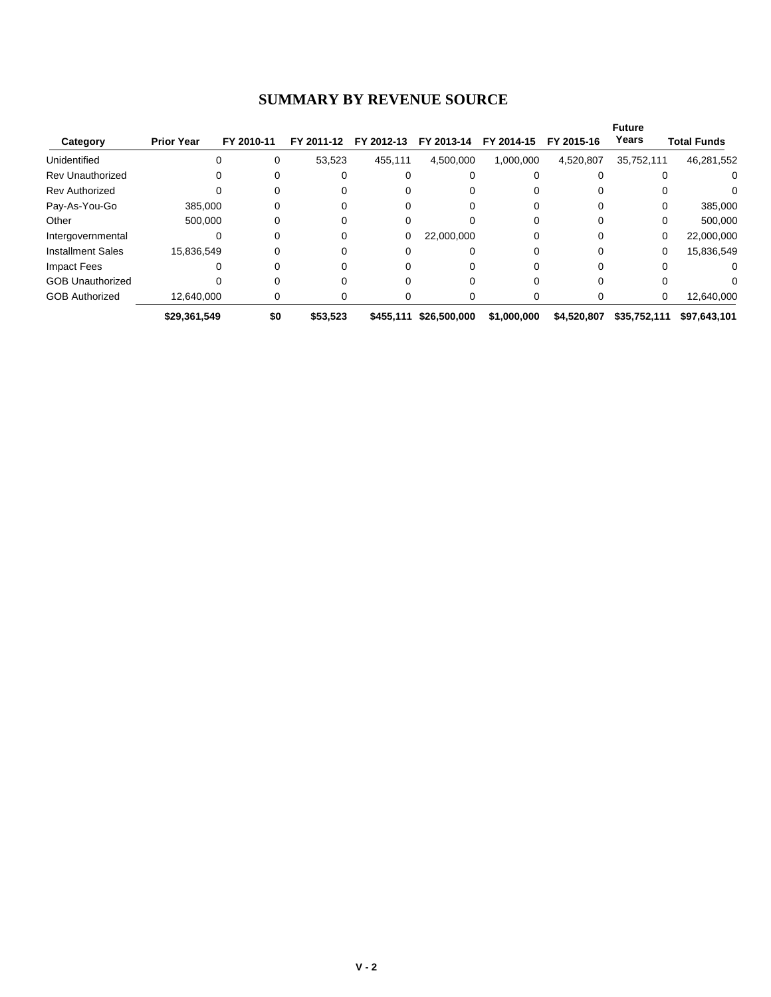#### **SUMMARY BY REVENUE SOURCE**

|                          |                   |            |            |            |              |             |             | <b>Future</b> |                    |
|--------------------------|-------------------|------------|------------|------------|--------------|-------------|-------------|---------------|--------------------|
| Category                 | <b>Prior Year</b> | FY 2010-11 | FY 2011-12 | FY 2012-13 | FY 2013-14   | FY 2014-15  | FY 2015-16  | Years         | <b>Total Funds</b> |
| Unidentified             | $\Omega$          | 0          | 53,523     | 455,111    | 4,500,000    | 1,000,000   | 4,520,807   | 35,752,111    | 46,281,552         |
| <b>Rev Unauthorized</b>  |                   | 0          | 0          |            |              |             |             |               | 0                  |
| <b>Rev Authorized</b>    |                   |            |            |            |              |             |             |               |                    |
| Pay-As-You-Go            | 385,000           |            |            |            |              |             |             | 0             | 385,000            |
| Other                    | 500.000           |            | 0          |            |              |             |             | 0             | 500,000            |
| Intergovernmental        | 0                 | 0          | 0          | 0          | 22,000,000   |             |             | 0             | 22,000,000         |
| <b>Installment Sales</b> | 15,836,549        | 0          | 0          |            |              |             |             | 0             | 15,836,549         |
| Impact Fees              |                   |            |            |            |              |             |             |               | $\Omega$           |
| <b>GOB Unauthorized</b>  |                   |            |            |            |              |             |             |               |                    |
| <b>GOB Authorized</b>    | 12.640.000        | 0          | 0          |            | 0            |             |             | 0             | 12,640,000         |
|                          | \$29,361,549      | \$0        | \$53.523   | \$455.111  | \$26,500,000 | \$1,000,000 | \$4,520,807 | \$35.752.111  | \$97,643,101       |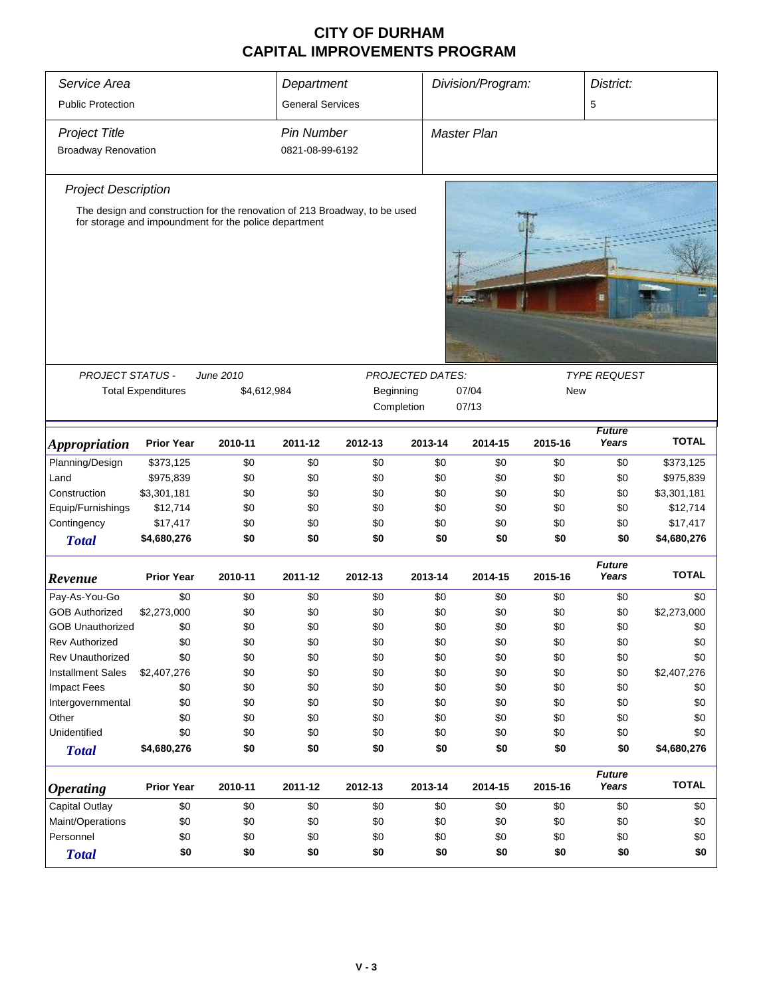| Service Area<br><b>Public Protection</b>           | Department<br><b>General Services</b>                                                                                               |                          |                                      | Division/Program:                           |         | District:<br>5     |                                   |                        |              |
|----------------------------------------------------|-------------------------------------------------------------------------------------------------------------------------------------|--------------------------|--------------------------------------|---------------------------------------------|---------|--------------------|-----------------------------------|------------------------|--------------|
| <b>Project Title</b><br><b>Broadway Renovation</b> |                                                                                                                                     |                          | <b>Pin Number</b><br>0821-08-99-6192 |                                             |         | <b>Master Plan</b> |                                   |                        |              |
| <b>Project Description</b>                         |                                                                                                                                     |                          |                                      |                                             |         |                    |                                   |                        |              |
|                                                    | The design and construction for the renovation of 213 Broadway, to be used<br>for storage and impoundment for the police department |                          |                                      |                                             |         |                    |                                   |                        |              |
|                                                    |                                                                                                                                     |                          |                                      |                                             |         |                    |                                   |                        |              |
| <b>PROJECT STATUS -</b>                            | <b>Total Expenditures</b>                                                                                                           | June 2010<br>\$4,612,984 |                                      | PROJECTED DATES:<br>Beginning<br>Completion |         | 07/04<br>07/13     | <b>TYPE REQUEST</b><br><b>New</b> |                        |              |
| <i><b>Appropriation</b></i>                        | <b>Prior Year</b>                                                                                                                   | 2010-11                  | 2011-12                              | 2012-13                                     | 2013-14 | 2014-15            | 2015-16                           | <b>Future</b><br>Years | <b>TOTAL</b> |
| Planning/Design                                    | \$373,125                                                                                                                           | \$0                      | \$0                                  | \$0                                         | \$0     | \$0                | \$0                               | \$0                    | \$373,125    |
| Land                                               | \$975,839                                                                                                                           | \$0                      | \$0                                  | \$0                                         | \$0     | \$0                | \$0                               | \$0                    | \$975,839    |
| Construction                                       | \$3,301,181                                                                                                                         | \$0                      | \$0                                  | \$0                                         | \$0     | \$0                | \$0                               | \$0                    | \$3,301,181  |
| Equip/Furnishings                                  | \$12,714                                                                                                                            | \$0                      | \$0                                  | \$0                                         | \$0     | \$0                | \$0                               | \$0                    | \$12,714     |
| Contingency                                        | \$17,417                                                                                                                            | \$0                      | \$0                                  | \$0                                         | \$0     | \$0                | \$0                               | \$0                    | \$17,417     |
| <b>Total</b>                                       | \$4,680,276                                                                                                                         | \$0                      | \$0                                  | \$0                                         | \$0     | \$0                | \$0                               | \$0                    | \$4,680,276  |
| Revenue                                            | <b>Prior Year</b>                                                                                                                   | 2010-11                  | 2011-12                              | 2012-13                                     | 2013-14 | 2014-15            | 2015-16                           | <b>Future</b><br>Years | <b>TOTAL</b> |
| Pay-As-You-Go                                      | \$0                                                                                                                                 | \$0                      | \$0                                  | \$0                                         | \$0     | \$0                | \$0                               | \$0                    | \$0          |
| <b>GOB Authorized</b>                              | \$2,273,000                                                                                                                         | \$0                      | \$0                                  | \$0                                         | \$0     | \$0                | \$0                               | \$0                    | \$2,273,000  |
| <b>GOB Unauthorized</b>                            | \$0                                                                                                                                 | \$0                      | \$0                                  | \$0                                         | \$0     | \$0                | \$0                               | \$0                    | \$0          |
| Rev Authorized                                     | \$0                                                                                                                                 | \$0                      | \$0                                  | \$0                                         | \$0     | \$0                | \$0                               | \$0                    | \$0          |
| <b>Rev Unauthorized</b>                            | \$0                                                                                                                                 | \$0                      | \$0                                  | \$0                                         | \$0     | \$0                | \$0                               | \$0                    | \$0          |
| <b>Installment Sales</b>                           | \$2,407,276                                                                                                                         | \$0                      | \$0                                  | \$0                                         | \$0     | \$0                | \$0                               | \$0                    | \$2,407,276  |
| <b>Impact Fees</b>                                 | \$0                                                                                                                                 | \$0                      | \$0                                  | \$0                                         | \$0     | \$0                | \$0                               | \$0                    | \$0          |
| Intergovernmental                                  | \$0                                                                                                                                 | \$0                      | \$0                                  | \$0                                         | \$0     | \$0                | \$0                               | \$0                    | \$0          |
| Other                                              | \$0                                                                                                                                 | \$0                      | \$0                                  | \$0                                         | \$0     | \$0                | \$0                               | \$0                    | \$0          |
| Unidentified                                       | \$0                                                                                                                                 | \$0                      | \$0                                  | \$0                                         | \$0     | \$0                | \$0                               | \$0                    | \$0          |
| <b>Total</b>                                       | \$4,680,276                                                                                                                         | \$0                      | \$0                                  | \$0                                         | \$0     | \$0                | \$0                               | \$0                    | \$4,680,276  |
| <b>Operating</b>                                   | <b>Prior Year</b>                                                                                                                   | 2010-11                  | 2011-12                              | 2012-13                                     | 2013-14 | 2014-15            | 2015-16                           | <b>Future</b><br>Years | <b>TOTAL</b> |
| Capital Outlay                                     | \$0                                                                                                                                 | \$0                      | \$0                                  | \$0                                         | \$0     | \$0                | \$0                               | \$0                    | \$0          |
| Maint/Operations                                   | \$0                                                                                                                                 | \$0                      | \$0                                  | \$0                                         | \$0     | \$0                | \$0                               | \$0                    | \$0          |
| Personnel                                          | \$0                                                                                                                                 | \$0                      | \$0                                  | \$0                                         | \$0     | \$0                | \$0                               | \$0                    | \$0          |
| <b>Total</b>                                       | \$0                                                                                                                                 | \$0                      | \$0                                  | \$0                                         | \$0     | \$0                | \$0                               | \$0                    | \$0          |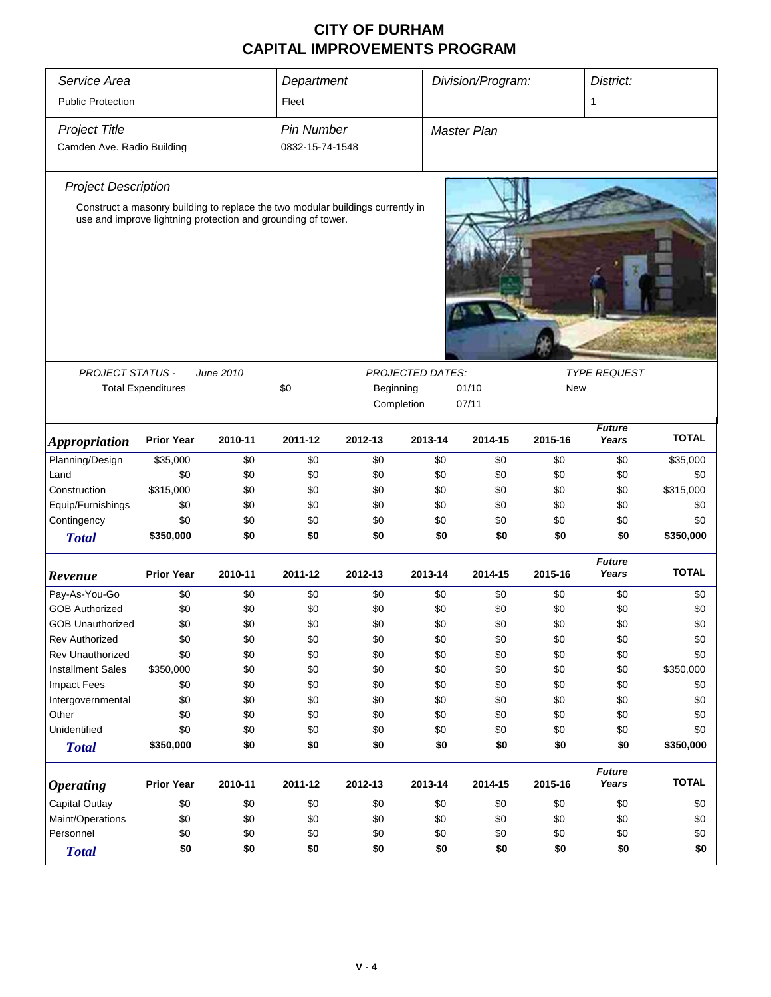| Service Area                           |                                                              |            | Department        |                                                                                |                  | Division/Program:  |            | District:              |              |
|----------------------------------------|--------------------------------------------------------------|------------|-------------------|--------------------------------------------------------------------------------|------------------|--------------------|------------|------------------------|--------------|
| <b>Public Protection</b>               |                                                              |            | Fleet             |                                                                                |                  |                    |            | 1                      |              |
| <b>Project Title</b>                   |                                                              |            | <b>Pin Number</b> |                                                                                |                  | <b>Master Plan</b> |            |                        |              |
| Camden Ave. Radio Building             |                                                              |            | 0832-15-74-1548   |                                                                                |                  |                    |            |                        |              |
|                                        |                                                              |            |                   |                                                                                |                  |                    |            |                        |              |
| <b>Project Description</b>             |                                                              |            |                   |                                                                                |                  |                    |            |                        |              |
|                                        | use and improve lightning protection and grounding of tower. |            |                   | Construct a masonry building to replace the two modular buildings currently in |                  |                    |            |                        |              |
|                                        |                                                              |            |                   |                                                                                |                  |                    |            |                        |              |
|                                        |                                                              |            |                   |                                                                                |                  |                    |            |                        |              |
|                                        |                                                              |            |                   |                                                                                |                  |                    |            |                        |              |
|                                        |                                                              |            |                   |                                                                                |                  |                    |            |                        |              |
|                                        |                                                              |            |                   |                                                                                |                  |                    |            |                        |              |
|                                        |                                                              |            |                   |                                                                                |                  |                    |            |                        |              |
|                                        |                                                              |            |                   |                                                                                |                  |                    |            |                        |              |
|                                        |                                                              |            |                   |                                                                                |                  |                    |            |                        |              |
| PROJECT STATUS -                       |                                                              | June 2010  |                   |                                                                                | PROJECTED DATES: |                    |            | <b>TYPE REQUEST</b>    |              |
|                                        | <b>Total Expenditures</b>                                    |            | \$0               | Beginning                                                                      |                  | 01/10              | <b>New</b> |                        |              |
|                                        |                                                              |            |                   |                                                                                | Completion       | 07/11              |            |                        |              |
|                                        |                                                              |            |                   |                                                                                |                  |                    |            | <b>Future</b>          |              |
| <i><b>Appropriation</b></i>            | <b>Prior Year</b>                                            | 2010-11    | 2011-12           | 2012-13                                                                        | 2013-14          | 2014-15            | 2015-16    | Years                  | <b>TOTAL</b> |
| Planning/Design                        | \$35,000                                                     | \$0        | \$0               | \$0                                                                            | \$0              | \$0                | \$0        | \$0                    | \$35,000     |
| Land                                   | \$0                                                          | \$0        | \$0               | \$0                                                                            | \$0              | \$0                | \$0        | \$0                    | \$0          |
| Construction                           | \$315,000                                                    | \$0        | \$0               | \$0                                                                            | \$0              | \$0                | \$0        | \$0                    | \$315,000    |
| Equip/Furnishings                      | \$0                                                          | \$0        | \$0               | \$0                                                                            | \$0              | \$0                | \$0        | \$0                    | \$0          |
| Contingency                            | \$0                                                          | \$0        | \$0               | \$0                                                                            | \$0              | \$0                | \$0        | \$0                    | \$0          |
| <b>Total</b>                           | \$350,000                                                    | \$0        | \$0               | \$0                                                                            | \$0              | \$0                | \$0        | \$0                    | \$350,000    |
|                                        | <b>Prior Year</b>                                            | 2010-11    | 2011-12           | 2012-13                                                                        | 2013-14          | 2014-15            | 2015-16    | <b>Future</b><br>Years | <b>TOTAL</b> |
| Revenue                                |                                                              |            |                   |                                                                                |                  |                    |            |                        |              |
| Pay-As-You-Go<br><b>GOB Authorized</b> | \$0<br>\$0                                                   | \$0<br>\$0 | \$0<br>\$0        | \$0<br>\$0                                                                     | \$0<br>\$0       | \$0<br>\$0         | \$0<br>\$0 | \$0<br>\$0             | \$0<br>\$0   |
| <b>GOB Unauthorized</b>                | \$0                                                          | \$0        | \$0               | \$0                                                                            | \$0              | \$0                | \$0        | \$0                    | \$0          |
| <b>Rev Authorized</b>                  | \$0                                                          | \$0        | \$0               | \$0                                                                            | \$0              | \$0                | \$0        | \$0                    | \$0          |
| Rev Unauthorized                       | \$0                                                          | \$0        | \$0               | \$0                                                                            | \$0              | \$0                | \$0        | \$0                    | \$0          |
| <b>Installment Sales</b>               | \$350,000                                                    | \$0        | \$0               | \$0                                                                            | \$0              | \$0                | \$0        | \$0                    | \$350,000    |
| Impact Fees                            | \$0                                                          | \$0        | \$0               | \$0                                                                            | \$0              | \$0                | \$0        | \$0                    | \$0          |
| Intergovernmental                      | \$0                                                          | \$0        | \$0               | \$0                                                                            | \$0              | \$0                | \$0        | \$0                    | \$0          |
| Other                                  | \$0                                                          | \$0        | \$0               | \$0                                                                            | \$0              | \$0                | \$0        | \$0                    | \$0          |
| Unidentified                           | \$0                                                          | \$0        | \$0               | \$0                                                                            | \$0              | \$0                | \$0        | \$0                    | \$0          |
|                                        | \$350,000                                                    | \$0        | \$0               | \$0                                                                            | \$0              | \$0                | \$0        | \$0                    | \$350,000    |
| <b>Total</b>                           |                                                              |            |                   |                                                                                |                  |                    |            |                        |              |
| <b>Operating</b>                       | <b>Prior Year</b>                                            | 2010-11    | 2011-12           | 2012-13                                                                        | 2013-14          | 2014-15            | 2015-16    | <b>Future</b><br>Years | <b>TOTAL</b> |
| Capital Outlay                         | \$0                                                          | \$0        | \$0               | \$0                                                                            | \$0              | \$0                | \$0        | \$0                    | \$0          |
| Maint/Operations                       | \$0                                                          | \$0        | \$0               | \$0                                                                            | \$0              | \$0                | \$0        | \$0                    | \$0          |
| Personnel                              | \$0                                                          | \$0        | \$0               | \$0                                                                            | \$0              | \$0                | \$0        | \$0                    | \$0          |
| <b>Total</b>                           | \$0                                                          | \$0        | \$0               | \$0                                                                            | \$0              | \$0                | \$0        | \$0                    | \$0          |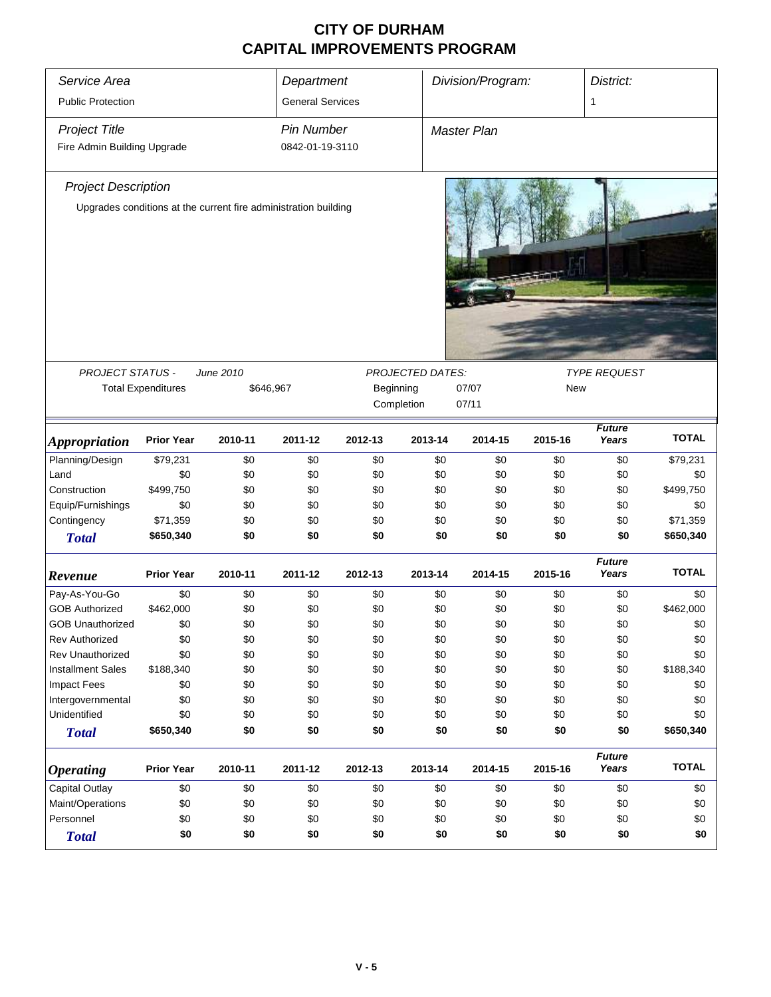| Service Area<br><b>Public Protection</b>                        |                           |                        | Department                           |            |                  | Division/Program:  |            | District:              |                       |  |
|-----------------------------------------------------------------|---------------------------|------------------------|--------------------------------------|------------|------------------|--------------------|------------|------------------------|-----------------------|--|
|                                                                 |                           |                        | <b>General Services</b>              |            |                  |                    |            | 1                      |                       |  |
| <b>Project Title</b><br>Fire Admin Building Upgrade             |                           |                        | <b>Pin Number</b><br>0842-01-19-3110 |            |                  | <b>Master Plan</b> |            |                        |                       |  |
| <b>Project Description</b>                                      |                           |                        |                                      |            |                  |                    |            |                        |                       |  |
| Upgrades conditions at the current fire administration building |                           |                        |                                      |            |                  |                    |            |                        |                       |  |
|                                                                 |                           |                        |                                      |            |                  |                    |            |                        |                       |  |
| PROJECT STATUS -                                                | <b>Total Expenditures</b> | June 2010<br>\$646,967 |                                      | Beginning  | PROJECTED DATES: | 07/07              | New        | <b>TYPE REQUEST</b>    |                       |  |
|                                                                 |                           |                        |                                      |            | Completion       | 07/11              |            |                        |                       |  |
|                                                                 |                           |                        |                                      |            |                  |                    |            |                        |                       |  |
| <b>Appropriation</b>                                            | <b>Prior Year</b>         | 2010-11                | 2011-12                              | 2012-13    | 2013-14          | 2014-15            | 2015-16    | <b>Future</b><br>Years | <b>TOTAL</b>          |  |
| Planning/Design                                                 | \$79,231                  | \$0                    | \$0                                  | \$0        | \$0              | \$0                | \$0        | \$0                    | \$79,231              |  |
| Land                                                            | \$0                       | \$0                    | \$0                                  | \$0        | \$0              | \$0                | \$0        | \$0                    | \$0                   |  |
| Construction                                                    | \$499,750                 | \$0                    | \$0                                  | \$0        | \$0              | \$0                | \$0        | \$0                    | \$499,750             |  |
| Equip/Furnishings                                               | \$0                       | \$0                    | \$0                                  | \$0        | \$0              | \$0                | \$0        | \$0                    | \$0                   |  |
| Contingency                                                     | \$71,359<br>\$650,340     | \$0<br>\$0             | \$0<br>\$0                           | \$0<br>\$0 | \$0<br>\$0       | \$0<br>\$0         | \$0<br>\$0 | \$0<br>\$0             | \$71,359<br>\$650,340 |  |
| <b>Total</b>                                                    |                           |                        |                                      |            |                  |                    |            |                        |                       |  |
| Revenue                                                         | <b>Prior Year</b>         | 2010-11                | 2011-12                              | 2012-13    | 2013-14          | 2014-15            | 2015-16    | <b>Future</b><br>Years | <b>TOTAL</b>          |  |
| Pay-As-You-Go                                                   | \$0                       | \$0                    | \$0                                  | \$0        | \$0              | \$0                | \$0        | \$0                    | \$0                   |  |
| <b>GOB Authorized</b>                                           | \$462,000                 | \$0                    | \$0                                  | \$0        | \$0              | \$0                | \$0        | \$0                    | \$462,000             |  |
| <b>GOB Unauthorized</b>                                         | \$0                       | \$0                    | \$0                                  | \$0        | \$0              | \$0                | \$0        | \$0                    | \$0                   |  |
| <b>Rev Authorized</b>                                           | \$0                       | \$0                    | \$0                                  | \$0        | \$0              | \$0                | \$0        | \$0                    | \$0                   |  |
| <b>Rev Unauthorized</b>                                         | \$0                       | \$0                    | \$0                                  | \$0        | \$0              | \$0                | \$0        | \$0                    | \$0                   |  |
| <b>Installment Sales</b>                                        | \$188,340                 | \$0                    | \$0                                  | \$0        | \$0              | \$0                | \$0        | \$0                    | \$188,340             |  |
| <b>Impact Fees</b>                                              | \$0                       | \$0                    | \$0                                  | \$0        | \$0              | \$0                | \$0        | \$0                    | \$0                   |  |
| Intergovernmental                                               | \$0                       | \$0                    | \$0                                  | \$0        | \$0              | \$0                | \$0        | \$0                    | \$0                   |  |
| Unidentified                                                    | \$0                       | \$0                    | \$0                                  | \$0        | \$0              | \$0                | \$0        | \$0                    | \$0                   |  |
| <b>Total</b>                                                    | \$650,340                 | \$0                    | \$0                                  | \$0        | \$0              | \$0                | \$0        | \$0                    | \$650,340             |  |
| <b>Operating</b>                                                | <b>Prior Year</b>         | 2010-11                | 2011-12                              | 2012-13    | 2013-14          | 2014-15            | 2015-16    | <b>Future</b><br>Years | <b>TOTAL</b>          |  |
| Capital Outlay                                                  | \$0                       | \$0                    | \$0                                  | \$0        | \$0              | \$0                | \$0        | \$0                    | \$0                   |  |
| Maint/Operations                                                | \$0                       | \$0                    | \$0                                  | \$0        | \$0              | \$0                | \$0        | \$0                    | \$0                   |  |
| Personnel                                                       | \$0                       | \$0                    | \$0                                  | \$0        | \$0              | \$0                | \$0        | \$0                    | \$0                   |  |
| <b>Total</b>                                                    | \$0                       | \$0                    | \$0                                  | \$0        | \$0              | \$0                | \$0        | \$0                    | \$0                   |  |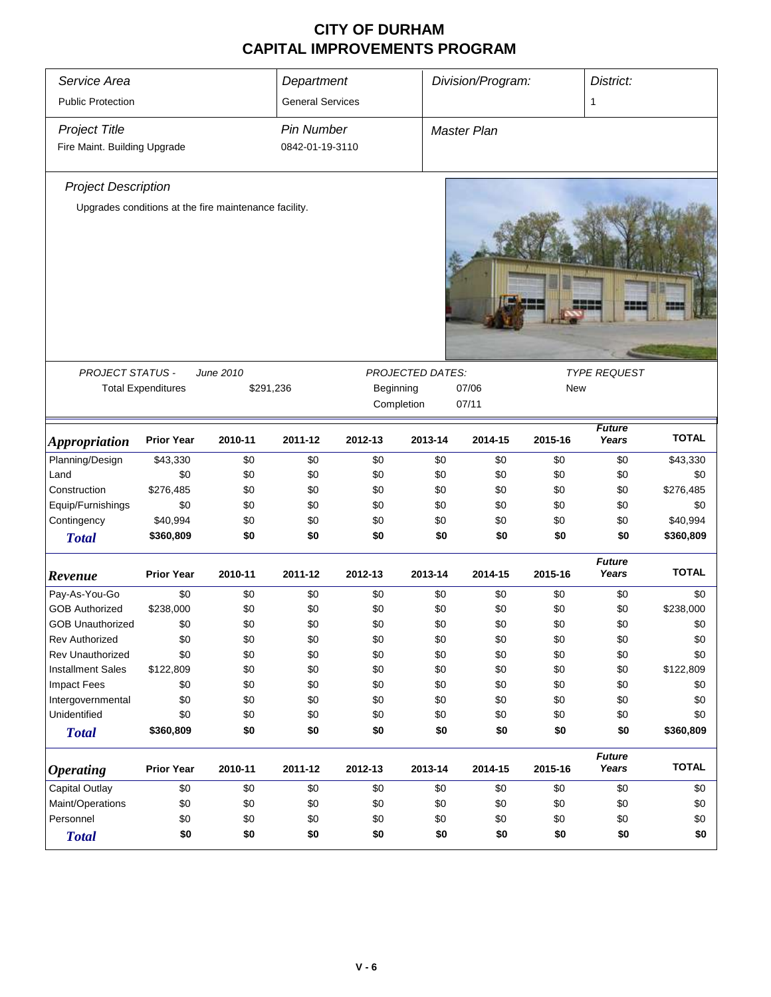| Service Area<br><b>Public Protection</b>             |                           |                                                       | Department<br><b>General Services</b> |           |                         | Division/Program:            |         | District:<br>1         |              |  |
|------------------------------------------------------|---------------------------|-------------------------------------------------------|---------------------------------------|-----------|-------------------------|------------------------------|---------|------------------------|--------------|--|
| <b>Project Title</b><br>Fire Maint. Building Upgrade |                           |                                                       | <b>Pin Number</b><br>0842-01-19-3110  |           |                         | <b>Master Plan</b>           |         |                        |              |  |
| <b>Project Description</b>                           |                           |                                                       |                                       |           |                         |                              |         |                        |              |  |
|                                                      |                           | Upgrades conditions at the fire maintenance facility. |                                       |           |                         |                              |         |                        |              |  |
|                                                      |                           |                                                       |                                       |           |                         |                              |         |                        |              |  |
|                                                      |                           |                                                       |                                       |           |                         |                              |         |                        |              |  |
| <b>PROJECT STATUS -</b>                              |                           | June 2010                                             |                                       |           | <b>PROJECTED DATES:</b> |                              |         | <b>TYPE REQUEST</b>    |              |  |
|                                                      | <b>Total Expenditures</b> | \$291,236                                             |                                       | Beginning | Completion              | 07/06<br><b>New</b><br>07/11 |         |                        |              |  |
|                                                      |                           |                                                       |                                       |           |                         |                              |         |                        |              |  |
| <i><b>Appropriation</b></i>                          | <b>Prior Year</b>         | 2010-11                                               | 2011-12                               | 2012-13   | 2013-14                 | 2014-15                      | 2015-16 | <b>Future</b><br>Years | <b>TOTAL</b> |  |
| Planning/Design                                      | \$43,330                  | \$0                                                   | \$0                                   | \$0       | \$0                     | \$0                          | \$0     | \$0                    | \$43,330     |  |
| Land                                                 | \$0                       | \$0                                                   | \$0                                   | \$0       | \$0                     | \$0                          | \$0     | \$0                    | \$0          |  |
| Construction                                         | \$276,485                 | \$0                                                   | \$0                                   | \$0       | \$0                     | \$0                          | \$0     | \$0                    | \$276,485    |  |
| Equip/Furnishings                                    | \$0                       | \$0                                                   | \$0                                   | \$0       | \$0                     | \$0                          | \$0     | \$0                    | \$0          |  |
| Contingency                                          | \$40,994                  | \$0                                                   | \$0                                   | \$0       | \$0                     | \$0                          | \$0     | \$0                    | \$40,994     |  |
| <b>Total</b>                                         | \$360,809                 | \$0                                                   | \$0                                   | \$0       | \$0                     | \$0                          | \$0     | \$0                    | \$360,809    |  |
| Revenue                                              | <b>Prior Year</b>         | 2010-11                                               | 2011-12                               | 2012-13   | 2013-14                 | 2014-15                      | 2015-16 | <b>Future</b><br>Years | <b>TOTAL</b> |  |
| Pay-As-You-Go                                        | \$0                       | \$0                                                   | \$0                                   | \$0       | \$0                     | \$0                          | \$0     | \$0                    | \$0          |  |
| <b>GOB Authorized</b>                                | \$238,000                 | \$0                                                   | \$0                                   | \$0       | \$0                     | \$0                          | \$0     | \$0                    | \$238,000    |  |
| <b>GOB Unauthorized</b>                              | \$0                       | \$0                                                   | \$0                                   | \$0       | \$0                     | \$0                          | \$0     | \$0                    | \$0          |  |
| Rev Authorized                                       | \$0                       | \$0                                                   | \$0                                   | \$0       | \$0                     | \$0                          | \$0     | \$0                    | \$0          |  |
| Rev Unauthorized                                     | \$0                       | \$0                                                   | \$0                                   | \$0       | \$0                     | \$0                          | \$0     | \$0                    | \$0          |  |
| <b>Installment Sales</b>                             | \$122,809                 | \$0                                                   | \$0                                   | \$0       | \$0                     | \$0                          | \$0     | \$0                    | \$122,809    |  |
| <b>Impact Fees</b>                                   | \$0                       | \$0                                                   | \$0                                   | \$0       | \$0                     | \$0                          | \$0     | \$0                    | \$0          |  |
| Intergovernmental                                    | \$0                       | \$0                                                   | \$0                                   | \$0       | \$0                     | \$0                          | \$0     | \$0                    | \$0          |  |
| Unidentified                                         | \$0                       | \$0                                                   | \$0                                   | \$0       | \$0                     | \$0                          | \$0     | \$0                    | \$0          |  |
| <b>Total</b>                                         | \$360,809                 | \$0                                                   | \$0                                   | \$0       | \$0                     | \$0                          | \$0     | \$0                    | \$360,809    |  |
| <b>Operating</b>                                     | <b>Prior Year</b>         | 2010-11                                               | 2011-12                               | 2012-13   | 2013-14                 | 2014-15                      | 2015-16 | <b>Future</b><br>Years | <b>TOTAL</b> |  |
| <b>Capital Outlay</b>                                | \$0                       | \$0                                                   | \$0                                   | \$0       | \$0                     | \$0                          | \$0     | \$0                    | \$0          |  |
| Maint/Operations                                     | \$0                       | \$0                                                   | \$0                                   | \$0       | \$0                     | \$0                          | \$0     | \$0                    | \$0          |  |
| Personnel                                            | \$0                       | \$0                                                   | \$0                                   | \$0       | \$0                     | \$0                          | \$0     | \$0                    | \$0          |  |
| <b>Total</b>                                         | \$0                       | \$0                                                   | \$0                                   | \$0       | \$0                     | \$0                          | \$0     | \$0                    | \$0          |  |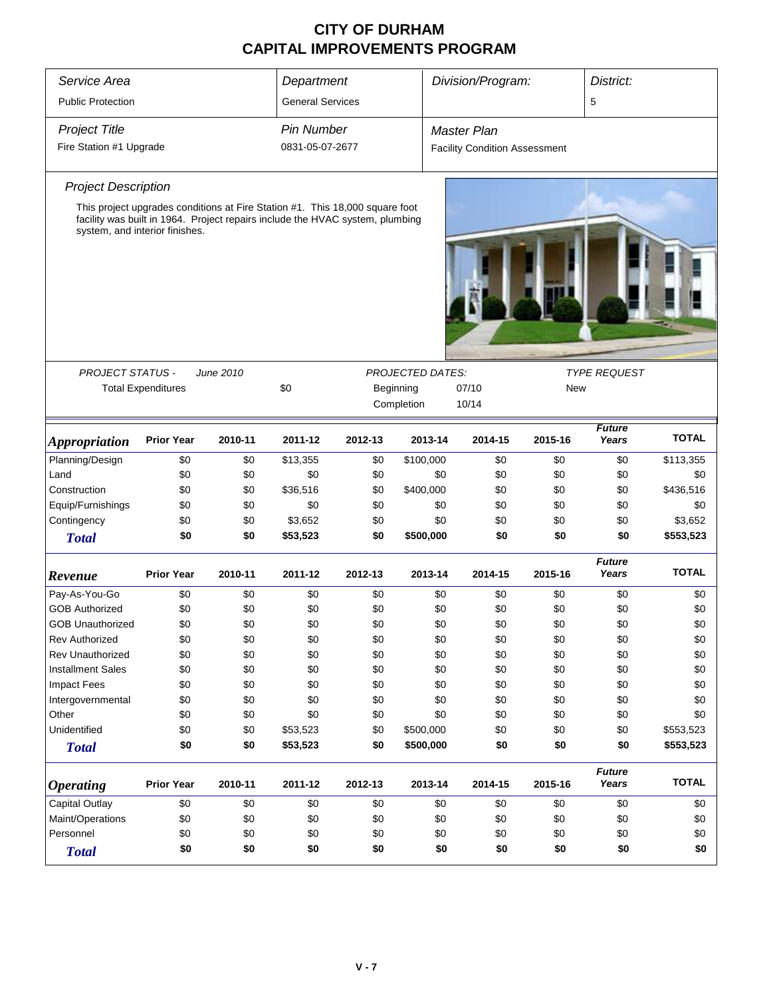| Service Area               |                                                                                                                 |           | Department              |           |                         | Division/Program:                    |         | District:              |              |  |
|----------------------------|-----------------------------------------------------------------------------------------------------------------|-----------|-------------------------|-----------|-------------------------|--------------------------------------|---------|------------------------|--------------|--|
| <b>Public Protection</b>   |                                                                                                                 |           | <b>General Services</b> |           |                         |                                      |         | 5                      |              |  |
| <b>Project Title</b>       |                                                                                                                 |           | <b>Pin Number</b>       |           |                         | <b>Master Plan</b>                   |         |                        |              |  |
| Fire Station #1 Upgrade    |                                                                                                                 |           | 0831-05-07-2677         |           |                         | <b>Facility Condition Assessment</b> |         |                        |              |  |
| <b>Project Description</b> |                                                                                                                 |           |                         |           |                         |                                      |         |                        |              |  |
|                            | This project upgrades conditions at Fire Station #1. This 18,000 square foot                                    |           |                         |           |                         |                                      |         |                        |              |  |
|                            | facility was built in 1964. Project repairs include the HVAC system, plumbing<br>system, and interior finishes. |           |                         |           |                         |                                      |         |                        |              |  |
|                            |                                                                                                                 |           |                         |           |                         |                                      |         |                        |              |  |
| <b>PROJECT STATUS -</b>    |                                                                                                                 | June 2010 |                         |           | <b>PROJECTED DATES:</b> |                                      |         | <b>TYPE REQUEST</b>    |              |  |
|                            | <b>Total Expenditures</b>                                                                                       |           | \$0                     | Beginning | <b>New</b>              |                                      |         |                        |              |  |
|                            |                                                                                                                 |           |                         |           | Completion              | 10/14                                |         |                        |              |  |
|                            |                                                                                                                 |           |                         |           |                         |                                      |         |                        |              |  |
| <b>Appropriation</b>       | <b>Prior Year</b>                                                                                               | 2010-11   | 2011-12                 | 2012-13   | 2013-14                 | 2014-15                              | 2015-16 | <b>Future</b><br>Years | <b>TOTAL</b> |  |
| Planning/Design            | \$0                                                                                                             | \$0       | \$13,355                | \$0       | \$100,000               | \$0                                  | \$0     | \$0                    | \$113,355    |  |
| Land                       | \$0                                                                                                             | \$0       | \$0                     | \$0       | \$0                     | \$0                                  | \$0     | \$0                    | \$0          |  |
| Construction               | \$0                                                                                                             | \$0       | \$36,516                | \$0       | \$400,000               | \$0                                  | \$0     | \$0                    | \$436,516    |  |
| Equip/Furnishings          | \$0                                                                                                             | \$0       | \$0                     | \$0       | \$0                     | \$0                                  | \$0     | \$0                    | \$0          |  |
| Contingency                | \$0                                                                                                             | \$0       | \$3,652                 | \$0       | \$0                     | \$0                                  | \$0     | \$0                    | \$3,652      |  |
| <b>Total</b>               | \$0                                                                                                             | \$0       | \$53,523                | \$0       | \$500,000               | \$0                                  | \$0     | \$0                    | \$553,523    |  |
| Revenue                    | <b>Prior Year</b>                                                                                               | 2010-11   | 2011-12                 | 2012-13   | 2013-14                 | 2014-15                              | 2015-16 | <b>Future</b><br>Years | <b>TOTAL</b> |  |
| Pay-As-You-Go              | \$0                                                                                                             | \$0       | \$0                     | \$0       | \$0                     | \$0                                  | \$0     | \$0                    | \$0          |  |
| <b>GOB Authorized</b>      | \$0                                                                                                             | \$0       | \$0                     | \$0       | \$0                     | \$0                                  | \$0     | \$0                    | \$0          |  |
| <b>GOB Unauthorized</b>    | \$0                                                                                                             | \$0       | \$0                     | \$0       | \$0                     | \$0                                  | \$0     | \$0                    | \$0          |  |
| <b>Rev Authorized</b>      | \$0                                                                                                             | \$0       | \$0                     | \$0       | \$0                     | \$0                                  | \$0     | \$0                    | \$0          |  |
| <b>Rev Unauthorized</b>    | \$0                                                                                                             | \$0       | \$0                     | \$0       | \$0                     | \$0                                  | \$0     | \$0                    | \$0          |  |
| <b>Installment Sales</b>   | \$0                                                                                                             | \$0       | \$0                     | \$0       | \$0                     | \$0                                  | \$0     | \$0                    | \$0          |  |
| <b>Impact Fees</b>         | \$0                                                                                                             | \$0       | \$0                     | \$0       | \$0                     | \$0                                  | \$0     | \$0                    | \$0          |  |
| Intergovernmental          | \$0                                                                                                             | \$0       | \$0                     | \$0       | \$0                     | \$0                                  | \$0     | \$0                    | \$0          |  |
| Other                      | \$0                                                                                                             | \$0       | \$0                     | \$0       | \$0                     | \$0                                  | \$0     | \$0                    | \$0          |  |
| Unidentified               | \$0                                                                                                             | \$0       | \$53,523                | \$0       | \$500,000               | \$0                                  | \$0     | \$0                    | \$553,523    |  |
| <b>Total</b>               | \$0                                                                                                             | \$0       | \$53,523                | \$0       | \$500,000               | \$0                                  | \$0     | \$0                    | \$553,523    |  |
| <b>Operating</b>           | <b>Prior Year</b>                                                                                               | 2010-11   | 2011-12                 | 2012-13   | 2013-14                 | 2014-15                              | 2015-16 | <b>Future</b><br>Years | <b>TOTAL</b> |  |
| Capital Outlay             | \$0                                                                                                             | \$0       | \$0                     | \$0       | \$0                     | \$0                                  | \$0     | \$0                    | \$0          |  |
| Maint/Operations           | \$0                                                                                                             | \$0       | \$0                     | \$0       | \$0                     | \$0                                  | \$0     | \$0                    | \$0          |  |
| Personnel                  | \$0                                                                                                             | \$0       | \$0                     | \$0       | \$0                     | \$0                                  | \$0     | \$0                    | \$0          |  |
| <b>Total</b>               | \$0                                                                                                             | \$0       | \$0                     | \$0       | \$0                     | \$0                                  | \$0     | \$0                    | \$0          |  |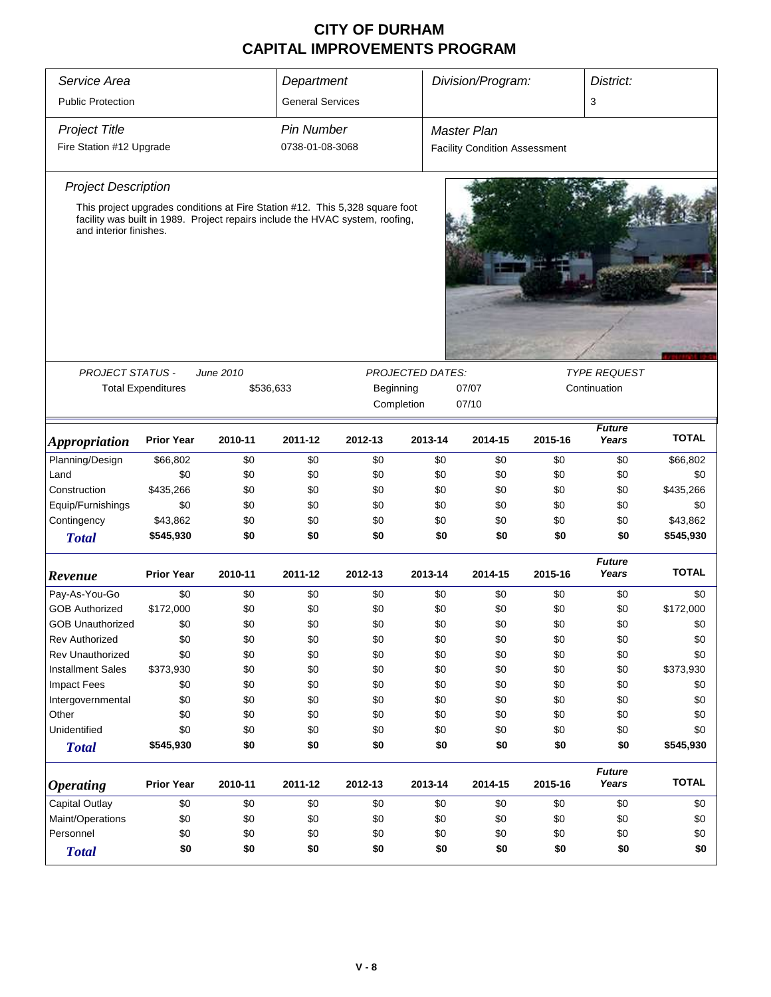| Service Area                |                                                     |                                                                                                                                                               | Department              |         |                  | Division/Program:                    |         | District:              |              |
|-----------------------------|-----------------------------------------------------|---------------------------------------------------------------------------------------------------------------------------------------------------------------|-------------------------|---------|------------------|--------------------------------------|---------|------------------------|--------------|
| <b>Public Protection</b>    |                                                     |                                                                                                                                                               | <b>General Services</b> |         |                  |                                      |         | 3                      |              |
| <b>Project Title</b>        |                                                     |                                                                                                                                                               | <b>Pin Number</b>       |         |                  | <b>Master Plan</b>                   |         |                        |              |
| Fire Station #12 Upgrade    |                                                     |                                                                                                                                                               | 0738-01-08-3068         |         |                  | <b>Facility Condition Assessment</b> |         |                        |              |
|                             |                                                     |                                                                                                                                                               |                         |         |                  |                                      |         |                        |              |
| <b>Project Description</b>  |                                                     |                                                                                                                                                               |                         |         |                  |                                      |         |                        |              |
| and interior finishes.      |                                                     | This project upgrades conditions at Fire Station #12. This 5,328 square foot<br>facility was built in 1989. Project repairs include the HVAC system, roofing, |                         |         |                  |                                      |         |                        |              |
|                             |                                                     |                                                                                                                                                               |                         |         |                  |                                      |         |                        |              |
| PROJECT STATUS -            |                                                     | June 2010                                                                                                                                                     |                         |         | PROJECTED DATES: |                                      |         | <b>TYPE REQUEST</b>    |              |
|                             | <b>Total Expenditures</b><br>\$536,633<br>Beginning |                                                                                                                                                               |                         |         |                  | 07/07                                |         | Continuation           |              |
|                             |                                                     |                                                                                                                                                               |                         |         | Completion       | 07/10                                |         |                        |              |
| <i><b>Appropriation</b></i> | <b>Prior Year</b>                                   | 2010-11                                                                                                                                                       | 2011-12                 | 2012-13 | 2013-14          | 2014-15                              | 2015-16 | <b>Future</b><br>Years | <b>TOTAL</b> |
| Planning/Design             | \$66,802                                            | \$0                                                                                                                                                           | \$0                     | \$0     | \$0              | \$0                                  | \$0     | \$0                    | \$66,802     |
| Land                        | \$0                                                 | \$0                                                                                                                                                           | \$0                     | \$0     | \$0              | \$0                                  | \$0     | \$0                    | \$0          |
| Construction                | \$435,266                                           | \$0                                                                                                                                                           | \$0                     | \$0     | \$0              | \$0                                  | \$0     | \$0                    | \$435,266    |
| Equip/Furnishings           | \$0                                                 | \$0                                                                                                                                                           | \$0                     | \$0     | \$0              | \$0                                  | \$0     | \$0                    | \$0          |
| Contingency                 | \$43,862                                            | \$0                                                                                                                                                           | \$0                     | \$0     | \$0              | \$0                                  | \$0     | \$0                    | \$43,862     |
| <b>Total</b>                | \$545,930                                           | \$0                                                                                                                                                           | \$0                     | \$0     | \$0              | \$0                                  | \$0     | \$0                    | \$545,930    |
| Revenue                     | <b>Prior Year</b>                                   | 2010-11                                                                                                                                                       | 2011-12                 | 2012-13 | 2013-14          | 2014-15                              | 2015-16 | <b>Future</b><br>Years | <b>TOTAL</b> |
| Pay-As-You-Go               | \$0                                                 | \$0                                                                                                                                                           | \$0                     | \$0     | \$0              | \$0                                  | \$0     | \$0                    | \$0          |
| <b>GOB Authorized</b>       | \$172,000                                           | \$0                                                                                                                                                           | \$0                     | \$0     | \$0              | \$0                                  | \$0     | \$0                    | \$172,000    |
| <b>GOB Unauthorized</b>     | \$0                                                 | \$0                                                                                                                                                           | \$0                     | \$0     | \$0              | \$0                                  | \$0     | \$0                    | \$0          |
| <b>Rev Authorized</b>       | \$0                                                 | \$0                                                                                                                                                           | \$0                     | \$0     | \$0              | \$0                                  | \$0     | \$0                    | \$0          |
| Rev Unauthorized            | \$0                                                 | \$0                                                                                                                                                           | \$0                     | \$0     | \$0              | \$0                                  | \$0     | \$0                    | \$0          |
| <b>Installment Sales</b>    | \$373,930                                           | \$0                                                                                                                                                           | \$0                     | \$0     | \$0              | \$0                                  | \$0     | \$0                    | \$373,930    |
| <b>Impact Fees</b>          | \$0                                                 | \$0                                                                                                                                                           | \$0                     | \$0     | \$0              | \$0                                  | \$0     | \$0                    | \$0          |
| Intergovernmental           | \$0                                                 | \$0                                                                                                                                                           | \$0                     | \$0     | \$0              | \$0                                  | \$0     | \$0                    | \$0          |
| Other                       | \$0                                                 | \$0                                                                                                                                                           | \$0                     | \$0     | \$0              | \$0                                  | \$0     | \$0                    | \$0          |
| Unidentified                | \$0                                                 | \$0                                                                                                                                                           | \$0                     | \$0     | \$0              | \$0                                  | \$0     | \$0                    | \$0          |
| <b>Total</b>                | \$545,930                                           | \$0                                                                                                                                                           | \$0                     | \$0     | \$0              | \$0                                  | \$0     | \$0                    | \$545,930    |
| <i><b>Operating</b></i>     | <b>Prior Year</b>                                   | 2010-11                                                                                                                                                       | 2011-12                 | 2012-13 | 2013-14          | 2014-15                              | 2015-16 | <b>Future</b><br>Years | <b>TOTAL</b> |
| Capital Outlay              | \$0                                                 | \$0                                                                                                                                                           | \$0                     | \$0     | \$0              | \$0                                  | \$0     | \$0                    | \$0          |
| Maint/Operations            | \$0                                                 | \$0                                                                                                                                                           | \$0                     | \$0     | \$0              | \$0                                  | \$0     | \$0                    | \$0          |
| Personnel                   | \$0                                                 | \$0                                                                                                                                                           | \$0                     | \$0     | \$0              | \$0                                  | \$0     | \$0                    | \$0          |
| <b>Total</b>                | \$0                                                 | \$0                                                                                                                                                           | \$0                     | \$0     | \$0              | \$0                                  | \$0     | \$0                    | \$0          |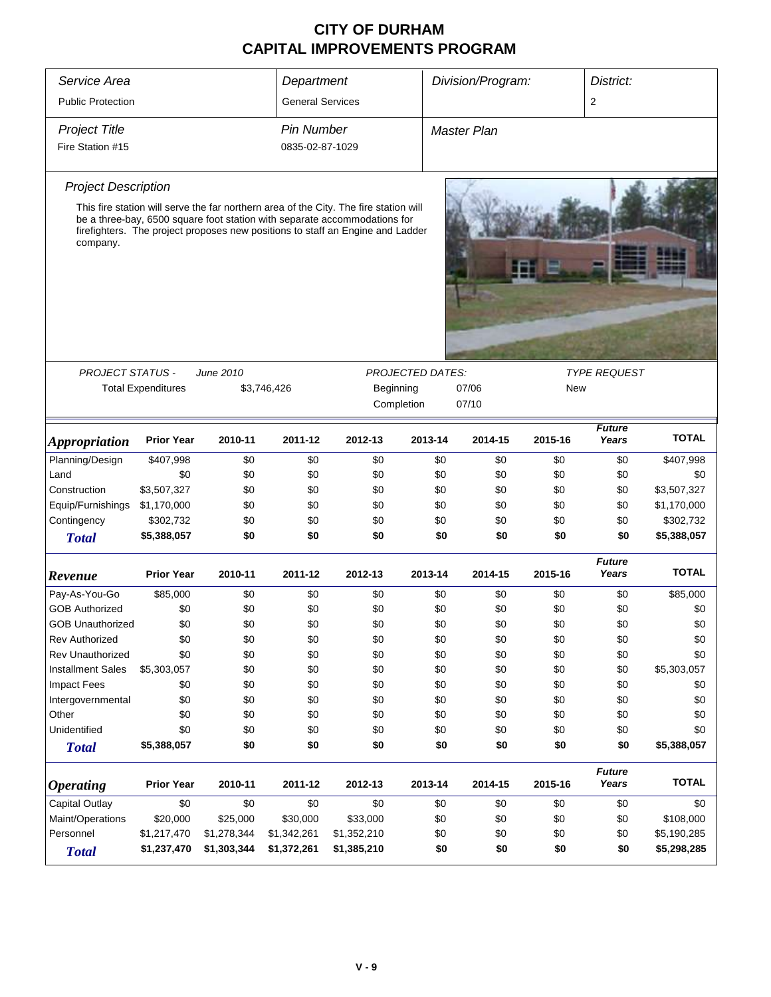| Service Area                |                                                                                                                                             |             |                         | Department                                                                                                                                                                                                                                           |         | Division/Program:   |         | District:              |              |
|-----------------------------|---------------------------------------------------------------------------------------------------------------------------------------------|-------------|-------------------------|------------------------------------------------------------------------------------------------------------------------------------------------------------------------------------------------------------------------------------------------------|---------|---------------------|---------|------------------------|--------------|
| <b>Public Protection</b>    |                                                                                                                                             |             | <b>General Services</b> |                                                                                                                                                                                                                                                      |         |                     |         | 2                      |              |
| <b>Project Title</b>        |                                                                                                                                             |             | <b>Pin Number</b>       |                                                                                                                                                                                                                                                      |         | <b>Master Plan</b>  |         |                        |              |
| Fire Station #15            |                                                                                                                                             |             | 0835-02-87-1029         |                                                                                                                                                                                                                                                      |         |                     |         |                        |              |
| <b>Project Description</b>  |                                                                                                                                             |             |                         |                                                                                                                                                                                                                                                      |         |                     |         |                        |              |
| company.                    |                                                                                                                                             |             |                         | This fire station will serve the far northern area of the City. The fire station will<br>be a three-bay, 6500 square foot station with separate accommodations for<br>firefighters. The project proposes new positions to staff an Engine and Ladder |         |                     |         |                        |              |
|                             |                                                                                                                                             |             |                         |                                                                                                                                                                                                                                                      |         |                     |         |                        |              |
| <b>PROJECT STATUS -</b>     | June 2010<br><b>PROJECTED DATES:</b><br><b>Total Expenditures</b><br>Beginning<br>07/06<br><b>New</b><br>\$3,746,426<br>07/10<br>Completion |             |                         |                                                                                                                                                                                                                                                      |         | <b>TYPE REQUEST</b> |         |                        |              |
| <i><b>Appropriation</b></i> | <b>Prior Year</b>                                                                                                                           | 2010-11     | 2011-12                 | 2012-13                                                                                                                                                                                                                                              | 2013-14 | 2014-15             | 2015-16 | <b>Future</b><br>Years | <b>TOTAL</b> |
| Planning/Design             | \$407,998                                                                                                                                   | \$0         | \$0                     | \$0                                                                                                                                                                                                                                                  | \$0     | \$0                 | \$0     | \$0                    | \$407,998    |
| Land                        | \$0                                                                                                                                         | \$0         | \$0                     | \$0                                                                                                                                                                                                                                                  | \$0     | \$0                 | \$0     | \$0                    | \$0          |
| Construction                | \$3,507,327                                                                                                                                 | \$0         | \$0                     | \$0                                                                                                                                                                                                                                                  | \$0     | \$0                 | \$0     | \$0                    | \$3,507,327  |
| Equip/Furnishings           | \$1,170,000                                                                                                                                 | \$0         | \$0                     | \$0                                                                                                                                                                                                                                                  | \$0     | \$0                 | \$0     | \$0                    | \$1,170,000  |
| Contingency                 | \$302,732                                                                                                                                   | \$0         | \$0                     | \$0                                                                                                                                                                                                                                                  | \$0     | \$0                 | \$0     | \$0                    | \$302,732    |
| <b>Total</b>                | \$5,388,057                                                                                                                                 | \$0         | \$0                     | \$0                                                                                                                                                                                                                                                  | \$0     | \$0                 | \$0     | \$0                    | \$5,388,057  |
| Revenue                     | <b>Prior Year</b>                                                                                                                           | 2010-11     | 2011-12                 | 2012-13                                                                                                                                                                                                                                              | 2013-14 | 2014-15             | 2015-16 | <b>Future</b><br>Years | <b>TOTAL</b> |
| Pay-As-You-Go               | \$85,000                                                                                                                                    | \$0         | \$0                     | \$0                                                                                                                                                                                                                                                  | \$0     | \$0                 | \$0     | \$0                    | \$85,000     |
| <b>GOB Authorized</b>       | \$0                                                                                                                                         | \$0         | \$0                     | \$0                                                                                                                                                                                                                                                  | \$0     | \$0                 | \$0     | \$0                    | \$0          |
| <b>GOB Unauthorized</b>     | \$0                                                                                                                                         | \$0         | \$0                     | \$0                                                                                                                                                                                                                                                  | \$0     | \$0                 | \$0     | \$0                    | \$0          |
| <b>Rev Authorized</b>       | \$0                                                                                                                                         | \$0         | \$0                     | \$0                                                                                                                                                                                                                                                  | \$0     | \$0                 | \$0     | \$0                    | \$0          |
| <b>Rev Unauthorized</b>     | \$0                                                                                                                                         | \$0         | \$0                     | \$0                                                                                                                                                                                                                                                  | \$0     | \$0                 | \$0     | \$0                    | \$0          |
| <b>Installment Sales</b>    | \$5,303,057                                                                                                                                 | \$0         | \$0                     | \$0                                                                                                                                                                                                                                                  | \$0     | \$0                 | \$0     | \$0                    | \$5,303,057  |
| <b>Impact Fees</b>          | \$0                                                                                                                                         | \$0         | \$0                     | \$0                                                                                                                                                                                                                                                  | \$0     | \$0                 | \$0     | \$0                    | \$0          |
| Intergovernmental           | \$0                                                                                                                                         | \$0         | \$0                     | \$0                                                                                                                                                                                                                                                  | \$0     | \$0                 | \$0     | \$0                    | \$0          |
| Other                       | \$0                                                                                                                                         | \$0         | \$0                     | \$0                                                                                                                                                                                                                                                  | \$0     | \$0                 | \$0     | \$0                    | \$0          |
| Unidentified                | \$0                                                                                                                                         | \$0         | \$0                     | \$0                                                                                                                                                                                                                                                  | \$0     | \$0                 | \$0     | \$0                    | \$0          |
| <b>Total</b>                | \$5,388,057                                                                                                                                 | \$0         | \$0                     | \$0                                                                                                                                                                                                                                                  | \$0     | \$0                 | \$0     | \$0                    | \$5,388,057  |
| <i><b>Operating</b></i>     | <b>Prior Year</b>                                                                                                                           | 2010-11     | 2011-12                 | 2012-13                                                                                                                                                                                                                                              | 2013-14 | 2014-15             | 2015-16 | <b>Future</b><br>Years | <b>TOTAL</b> |
| Capital Outlay              | \$0                                                                                                                                         | \$0         | \$0                     | \$0                                                                                                                                                                                                                                                  | \$0     | \$0                 | \$0     | \$0                    | \$0          |
| Maint/Operations            | \$20,000                                                                                                                                    | \$25,000    | \$30,000                | \$33,000                                                                                                                                                                                                                                             | \$0     | \$0                 | \$0     | \$0                    | \$108,000    |
| Personnel                   | \$1,217,470                                                                                                                                 | \$1,278,344 | \$1,342,261             | \$1,352,210                                                                                                                                                                                                                                          | \$0     | \$0                 | \$0     | \$0                    | \$5,190,285  |
| <b>Total</b>                | \$1,237,470                                                                                                                                 | \$1,303,344 | \$1,372,261             | \$1,385,210                                                                                                                                                                                                                                          | \$0     | \$0                 | \$0     | \$0                    | \$5,298,285  |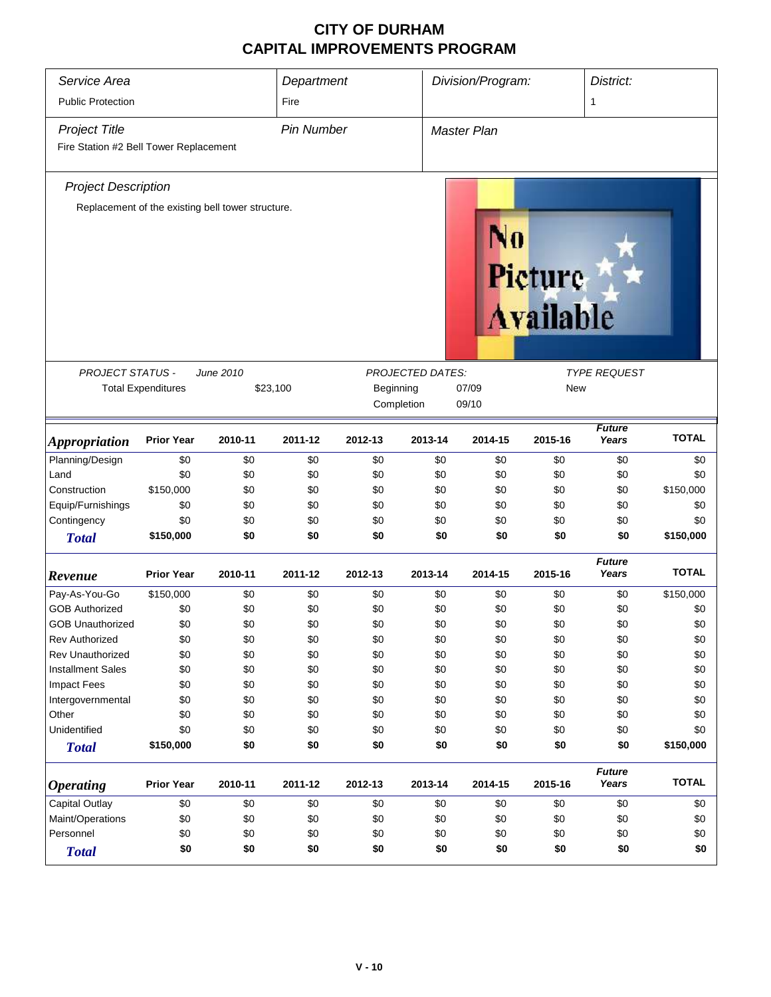| Service Area                           | Department                                        |           |                   | Division/Program: |                         | District:   |                      |                        |              |  |
|----------------------------------------|---------------------------------------------------|-----------|-------------------|-------------------|-------------------------|-------------|----------------------|------------------------|--------------|--|
| <b>Public Protection</b>               |                                                   |           | Fire              |                   |                         |             |                      | 1                      |              |  |
| <b>Project Title</b>                   |                                                   |           | <b>Pin Number</b> |                   |                         | Master Plan |                      |                        |              |  |
| Fire Station #2 Bell Tower Replacement |                                                   |           |                   |                   |                         |             |                      |                        |              |  |
| <b>Project Description</b>             |                                                   |           |                   |                   |                         |             |                      |                        |              |  |
|                                        | Replacement of the existing bell tower structure. |           |                   |                   |                         |             |                      |                        |              |  |
|                                        |                                                   |           |                   |                   |                         |             | Pieture<br>Available |                        |              |  |
| <b>PROJECT STATUS -</b>                |                                                   | June 2010 |                   |                   | <b>PROJECTED DATES:</b> |             |                      | <b>TYPE REQUEST</b>    |              |  |
|                                        | <b>Total Expenditures</b>                         |           | \$23,100          | Beginning         |                         | 07/09       | <b>New</b>           |                        |              |  |
|                                        |                                                   |           |                   |                   | Completion              | 09/10       |                      |                        |              |  |
| <b>Appropriation</b>                   | <b>Prior Year</b>                                 | 2010-11   | 2011-12           | 2012-13           | 2013-14                 | 2014-15     | 2015-16              | <b>Future</b><br>Years | <b>TOTAL</b> |  |
| Planning/Design                        | \$0                                               | \$0       | \$0               | \$0               | \$0                     | \$0         | \$0                  | \$0                    | \$0          |  |
| Land                                   | \$0                                               | \$0       | \$0               | \$0               | \$0                     | \$0         | \$0                  | \$0                    | \$0          |  |
| Construction                           | \$150,000                                         | \$0       | \$0               | \$0               | \$0                     | \$0         | \$0                  | \$0                    | \$150,000    |  |
| Equip/Furnishings                      | \$0                                               | \$0       | \$0               | \$0               | \$0                     | \$0         | \$0                  | \$0                    | \$0          |  |
| Contingency                            | \$0                                               | \$0       | \$0               | \$0               | \$0                     | \$0         | \$0                  | \$0                    | \$0          |  |
| <b>Total</b>                           | \$150,000                                         | \$0       | \$0               | \$0               | \$0                     | \$0         | \$0                  | \$0                    | \$150,000    |  |
| Revenue                                | <b>Prior Year</b>                                 | 2010-11   | 2011-12           | 2012-13           | 2013-14                 | 2014-15     | 2015-16              | <b>Future</b><br>Years | <b>TOTAL</b> |  |
| Pay-As-You-Go                          | \$150,000                                         | \$0       | \$0               | \$0               | \$0                     | \$0         | \$0                  | \$0                    | \$150,000    |  |
| <b>GOB Authorized</b>                  | \$0                                               | \$0       | \$0               | \$0               | \$0                     | \$0         | \$0                  | \$0                    | \$0          |  |
| <b>GOB Unauthorized</b>                | \$0                                               | \$0       | \$0               | \$0               | \$0                     | \$0         | \$0                  | \$0                    | \$0          |  |
| <b>Rev Authorized</b>                  | \$0                                               | \$0       | \$0               | \$0               | \$0                     | \$0         | \$0                  | \$0                    | \$0          |  |
| <b>Rev Unauthorized</b>                | \$0                                               | \$0       | \$0               | \$0               | \$0                     | \$0         | \$0                  | \$0                    | \$0          |  |
| <b>Installment Sales</b>               | \$0                                               | \$0       | \$0               | \$0               | \$0                     | \$0         | \$0                  | \$0                    | \$0          |  |
| <b>Impact Fees</b>                     | \$0                                               | \$0       | \$0               | \$0               | \$0                     | \$0         | \$0                  | \$0                    | \$0          |  |
| Intergovernmental                      | \$0                                               | \$0       | \$0               | \$0               | \$0                     | \$0         | \$0                  | \$0                    | \$0          |  |
| Other                                  | \$0                                               | \$0       | \$0               | \$0               | \$0                     | \$0         | \$0                  | \$0                    | \$0          |  |
| Unidentified                           | \$0                                               | \$0       | \$0               | \$0               | \$0                     | \$0         | \$0                  | \$0                    | \$0          |  |
| <b>Total</b>                           | \$150,000                                         | \$0       | \$0               | \$0               | \$0                     | \$0         | \$0                  | \$0                    | \$150,000    |  |
| <b>Operating</b>                       | <b>Prior Year</b>                                 | 2010-11   | 2011-12           | 2012-13           | 2013-14                 | 2014-15     | 2015-16              | <b>Future</b><br>Years | <b>TOTAL</b> |  |
| Capital Outlay                         | \$0                                               | \$0       | \$0               | \$0               | \$0                     | \$0         | \$0                  | \$0                    | \$0          |  |
| Maint/Operations                       | \$0                                               | \$0       | \$0               | \$0               | \$0                     | \$0         | \$0                  | \$0                    | \$0          |  |
| Personnel                              | \$0                                               | \$0       | \$0               | \$0               | \$0                     | \$0         | \$0                  | \$0                    | \$0          |  |
| <b>Total</b>                           | \$0                                               | \$0       | \$0               | \$0               | \$0                     | \$0         | \$0                  | \$0                    | \$0          |  |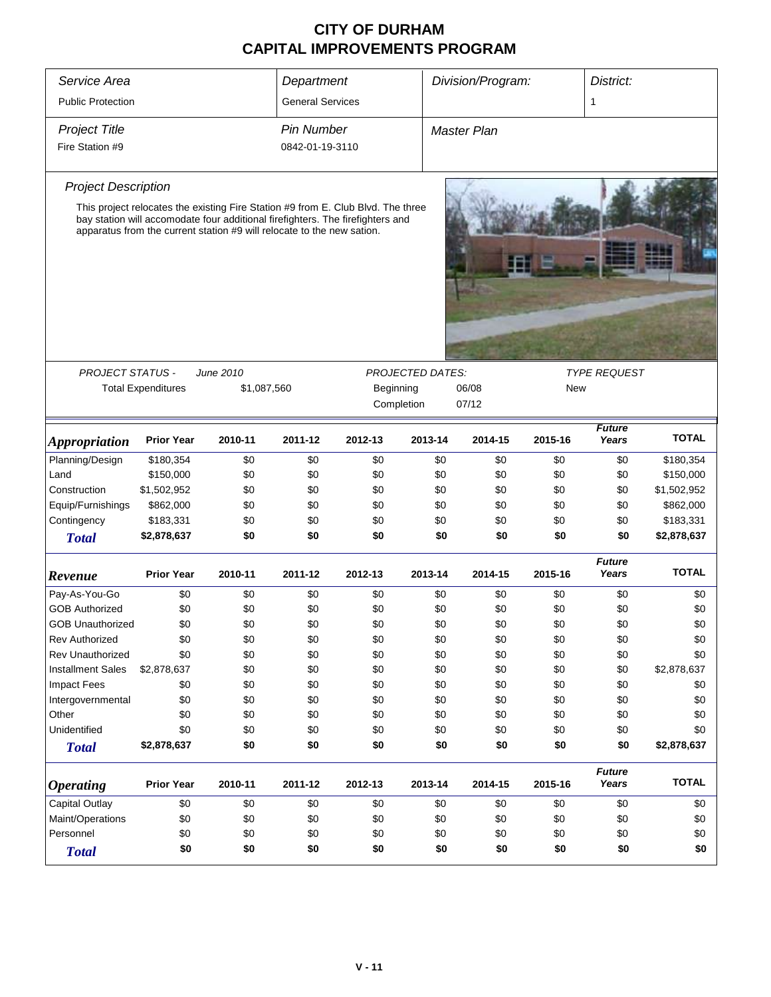| Service Area               |                                                                                                                                                                                                                                              |         |                         | Department |         |                     | Division/Program: |         | District:              |              |
|----------------------------|----------------------------------------------------------------------------------------------------------------------------------------------------------------------------------------------------------------------------------------------|---------|-------------------------|------------|---------|---------------------|-------------------|---------|------------------------|--------------|
| <b>Public Protection</b>   |                                                                                                                                                                                                                                              |         | <b>General Services</b> |            |         |                     |                   |         | 1                      |              |
| <b>Project Title</b>       |                                                                                                                                                                                                                                              |         | <b>Pin Number</b>       |            |         | <b>Master Plan</b>  |                   |         |                        |              |
| Fire Station #9            |                                                                                                                                                                                                                                              |         | 0842-01-19-3110         |            |         |                     |                   |         |                        |              |
| <b>Project Description</b> |                                                                                                                                                                                                                                              |         |                         |            |         |                     |                   |         |                        |              |
|                            | This project relocates the existing Fire Station #9 from E. Club Blvd. The three<br>bay station will accomodate four additional firefighters. The firefighters and<br>apparatus from the current station #9 will relocate to the new sation. |         |                         |            |         |                     |                   |         |                        |              |
|                            |                                                                                                                                                                                                                                              |         |                         |            |         |                     |                   |         |                        |              |
|                            | <b>PROJECT STATUS -</b><br>June 2010<br><b>PROJECTED DATES:</b><br><b>Total Expenditures</b><br>\$1,087,560<br>Beginning<br>06/08<br>Completion<br>07/12                                                                                     |         |                         |            | New     | <b>TYPE REQUEST</b> |                   |         |                        |              |
| <b>Appropriation</b>       | <b>Prior Year</b>                                                                                                                                                                                                                            | 2010-11 | 2011-12                 | 2012-13    | 2013-14 |                     | 2014-15           | 2015-16 | <b>Future</b><br>Years | <b>TOTAL</b> |
| Planning/Design            | \$180,354                                                                                                                                                                                                                                    | \$0     | \$0                     | \$0        |         | \$0                 | \$0               | \$0     | \$0                    | \$180,354    |
| Land                       | \$150,000                                                                                                                                                                                                                                    | \$0     | \$0                     | \$0        |         | \$0                 | \$0               | \$0     | \$0                    | \$150,000    |
| Construction               | \$1,502,952                                                                                                                                                                                                                                  | \$0     | \$0                     | \$0        |         | \$0                 | \$0               | \$0     | \$0                    | \$1,502,952  |
| Equip/Furnishings          | \$862,000                                                                                                                                                                                                                                    | \$0     | \$0                     | \$0        |         | \$0                 | \$0               | \$0     | \$0                    | \$862,000    |
| Contingency                | \$183,331                                                                                                                                                                                                                                    | \$0     | \$0                     | \$0        |         | \$0                 | \$0               | \$0     | \$0                    | \$183,331    |
| <b>Total</b>               | \$2,878,637                                                                                                                                                                                                                                  | \$0     | \$0                     | \$0        |         | \$0                 | \$0               | \$0     | \$0                    | \$2,878,637  |
| Revenue                    | <b>Prior Year</b>                                                                                                                                                                                                                            | 2010-11 | 2011-12                 | 2012-13    | 2013-14 |                     | 2014-15           | 2015-16 | <b>Future</b><br>Years | <b>TOTAL</b> |
| Pay-As-You-Go              | \$0                                                                                                                                                                                                                                          | \$0     | \$0                     | \$0        |         | \$0                 | \$0               | \$0     | \$0                    | \$0          |
| <b>GOB Authorized</b>      | \$0                                                                                                                                                                                                                                          | \$0     | \$0                     | \$0        |         | \$0                 | \$0               | \$0     | \$0                    | \$0          |
| <b>GOB Unauthorized</b>    | \$0                                                                                                                                                                                                                                          | \$0     | \$0                     | \$0        |         | \$0                 | \$0               | \$0     | \$0                    | \$0          |
| <b>Rev Authorized</b>      | \$0                                                                                                                                                                                                                                          | \$0     | \$0                     | \$0        |         | \$0                 | \$0               | \$0     | \$0                    | \$0          |
| Rev Unauthorized           | \$0                                                                                                                                                                                                                                          | \$0     | \$0                     | \$0        |         | \$0                 | \$0               | \$0     | \$0                    | \$0          |
| <b>Installment Sales</b>   | \$2,878,637                                                                                                                                                                                                                                  | \$0     | \$0                     | \$0        |         | \$0                 | \$0               | \$0     | \$0                    | \$2,878,637  |
| <b>Impact Fees</b>         | \$0                                                                                                                                                                                                                                          | \$0     | \$0                     | \$0        |         | \$0                 | \$0               | \$0     | \$0                    | \$0          |
| Intergovernmental          | \$0                                                                                                                                                                                                                                          | \$0     | \$0                     | \$0        |         | \$0                 | \$0               | \$0     | \$0                    | \$0          |
| Other                      | \$0                                                                                                                                                                                                                                          | \$0     | \$0                     | \$0        |         | \$0                 | \$0               | \$0     | \$0                    | \$0          |
| Unidentified               | \$0                                                                                                                                                                                                                                          | \$0     | \$0                     | \$0        |         | \$0                 | \$0               | \$0     | \$0                    | \$0          |
| <b>Total</b>               | \$2,878,637                                                                                                                                                                                                                                  | \$0     | \$0                     | \$0        |         | \$0                 | \$0               | \$0     | \$0                    | \$2,878,637  |
| <i><b>Operating</b></i>    | <b>Prior Year</b>                                                                                                                                                                                                                            | 2010-11 | 2011-12                 | 2012-13    | 2013-14 |                     | 2014-15           | 2015-16 | <b>Future</b><br>Years | <b>TOTAL</b> |
| Capital Outlay             | \$0                                                                                                                                                                                                                                          | \$0     | \$0                     | \$0        |         | \$0                 | \$0               | \$0     | \$0                    | \$0          |
| Maint/Operations           | \$0                                                                                                                                                                                                                                          | \$0     | \$0                     | \$0        |         | \$0                 | \$0               | \$0     | \$0                    | \$0          |
| Personnel                  | \$0                                                                                                                                                                                                                                          | \$0     | \$0                     | \$0        |         | \$0                 | \$0               | \$0     | \$0                    | \$0          |
| <b>Total</b>               | \$0                                                                                                                                                                                                                                          | \$0     | \$0                     | \$0        |         | \$0                 | \$0               | \$0     | \$0                    | \$0          |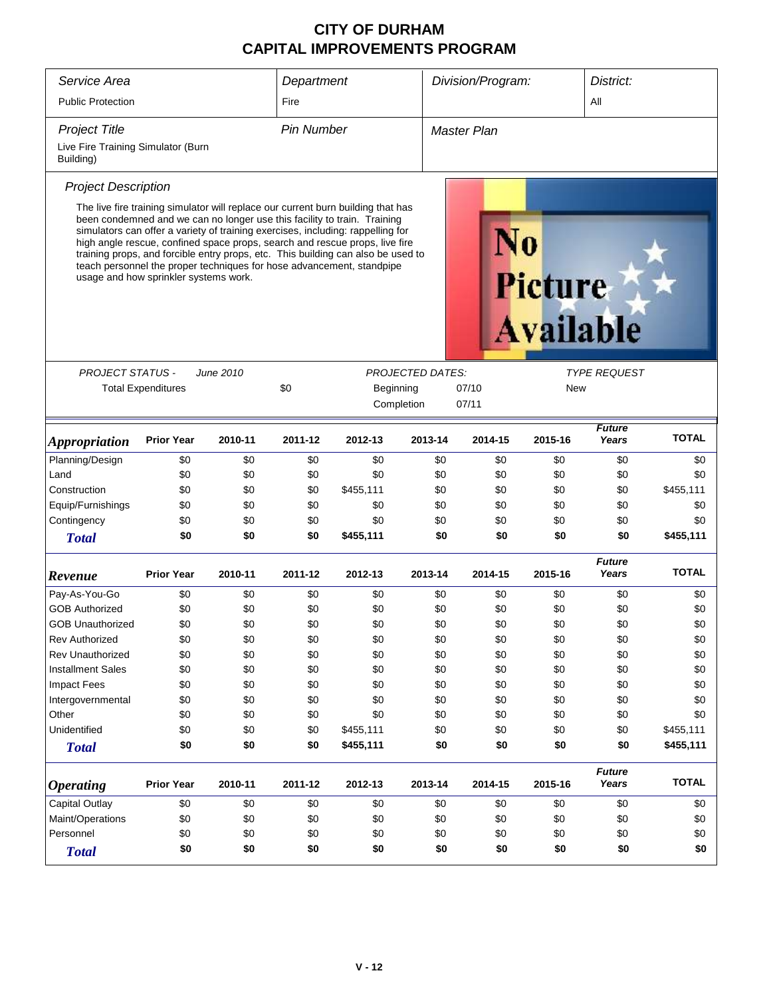| Service Area                                                                                                                                                                                                                                                                                                                                                                                                                                                                                                                                                               |                           |                    | Department |            |                         | Division/Program: |            | District:              |              |  |  |
|----------------------------------------------------------------------------------------------------------------------------------------------------------------------------------------------------------------------------------------------------------------------------------------------------------------------------------------------------------------------------------------------------------------------------------------------------------------------------------------------------------------------------------------------------------------------------|---------------------------|--------------------|------------|------------|-------------------------|-------------------|------------|------------------------|--------------|--|--|
| <b>Public Protection</b>                                                                                                                                                                                                                                                                                                                                                                                                                                                                                                                                                   | Fire                      |                    |            |            |                         | All               |            |                        |              |  |  |
| <b>Project Title</b>                                                                                                                                                                                                                                                                                                                                                                                                                                                                                                                                                       |                           | <b>Master Plan</b> |            |            |                         |                   |            |                        |              |  |  |
| Live Fire Training Simulator (Burn<br>Building)                                                                                                                                                                                                                                                                                                                                                                                                                                                                                                                            |                           |                    |            |            |                         |                   |            |                        |              |  |  |
| <b>Project Description</b>                                                                                                                                                                                                                                                                                                                                                                                                                                                                                                                                                 |                           |                    |            |            |                         |                   |            |                        |              |  |  |
| The live fire training simulator will replace our current burn building that has<br>been condemned and we can no longer use this facility to train. Training<br>simulators can offer a variety of training exercises, including: rappelling for<br>high angle rescue, confined space props, search and rescue props, live fire<br>training props, and forcible entry props, etc. This building can also be used to<br>teach personnel the proper techniques for hose advancement, standpipe<br>usage and how sprinkler systems work.<br><b>Picture</b><br><b>Available</b> |                           |                    |            |            |                         |                   |            |                        |              |  |  |
| <b>PROJECT STATUS -</b>                                                                                                                                                                                                                                                                                                                                                                                                                                                                                                                                                    |                           | June 2010          |            |            | <b>PROJECTED DATES:</b> |                   |            | <b>TYPE REQUEST</b>    |              |  |  |
|                                                                                                                                                                                                                                                                                                                                                                                                                                                                                                                                                                            | <b>Total Expenditures</b> |                    | \$0        | Beginning  |                         | 07/10             | <b>New</b> |                        |              |  |  |
|                                                                                                                                                                                                                                                                                                                                                                                                                                                                                                                                                                            |                           |                    |            | Completion |                         | 07/11             |            |                        |              |  |  |
| <i><b>Appropriation</b></i>                                                                                                                                                                                                                                                                                                                                                                                                                                                                                                                                                | <b>Prior Year</b>         | 2010-11            | 2011-12    | 2012-13    | 2013-14                 | 2014-15           | 2015-16    | <b>Future</b><br>Years | <b>TOTAL</b> |  |  |
| Planning/Design                                                                                                                                                                                                                                                                                                                                                                                                                                                                                                                                                            | \$0                       | \$0                | \$0        | \$0        | \$0                     | \$0               | \$0        | \$0                    | \$0          |  |  |
| Land                                                                                                                                                                                                                                                                                                                                                                                                                                                                                                                                                                       | \$0                       | \$0                | \$0        | \$0        | \$0                     | \$0               | \$0        | \$0                    | \$0          |  |  |
| Construction                                                                                                                                                                                                                                                                                                                                                                                                                                                                                                                                                               | \$0                       | \$0                | \$0        | \$455,111  | \$0                     | \$0               | \$0        | \$0                    | \$455,111    |  |  |
| Equip/Furnishings                                                                                                                                                                                                                                                                                                                                                                                                                                                                                                                                                          | \$0                       | \$0                | \$0        | \$0        | \$0                     | \$0               | \$0        | \$0                    | \$0          |  |  |
| Contingency                                                                                                                                                                                                                                                                                                                                                                                                                                                                                                                                                                | \$0                       | \$0                | \$0        | \$0        | \$0                     | \$0               | \$0        | \$0                    | \$0          |  |  |
|                                                                                                                                                                                                                                                                                                                                                                                                                                                                                                                                                                            | \$0                       | \$0                | \$0        | \$455,111  | \$0                     | \$0               | \$0        | \$0                    | \$455,111    |  |  |
| <b>Total</b>                                                                                                                                                                                                                                                                                                                                                                                                                                                                                                                                                               |                           |                    |            |            |                         |                   |            |                        |              |  |  |
| Revenue                                                                                                                                                                                                                                                                                                                                                                                                                                                                                                                                                                    | <b>Prior Year</b>         | 2010-11            | 2011-12    | 2012-13    | 2013-14                 | 2014-15           | 2015-16    | <b>Future</b><br>Years | <b>TOTAL</b> |  |  |
| Pay-As-You-Go                                                                                                                                                                                                                                                                                                                                                                                                                                                                                                                                                              | \$0                       | \$0                | \$0        | \$0        | \$0                     | \$0               | \$0        | \$0                    | \$0          |  |  |
| <b>GOB Authorized</b>                                                                                                                                                                                                                                                                                                                                                                                                                                                                                                                                                      | \$0                       | \$0                | \$0        | \$0        | \$0                     | \$0               | \$0        | \$0                    | \$0          |  |  |
| <b>GOB Unauthorized</b>                                                                                                                                                                                                                                                                                                                                                                                                                                                                                                                                                    | \$0                       | \$0                | \$0        | \$0        | \$0                     | \$0               | \$0        | \$0                    | \$0          |  |  |
| Rev Authorized                                                                                                                                                                                                                                                                                                                                                                                                                                                                                                                                                             | \$0                       | \$0                | \$0        | \$0        | \$0                     | \$0               | \$0        | \$0                    | \$0          |  |  |
| Rev Unauthorized                                                                                                                                                                                                                                                                                                                                                                                                                                                                                                                                                           | \$0                       | \$0                | \$0        | \$0        | \$0                     | \$0               | \$0        | \$0                    | \$0          |  |  |
| <b>Installment Sales</b>                                                                                                                                                                                                                                                                                                                                                                                                                                                                                                                                                   | \$0                       | \$0                | \$0        | \$0        | \$0                     | \$0               | \$0        | \$0                    | \$0          |  |  |
| <b>Impact Fees</b>                                                                                                                                                                                                                                                                                                                                                                                                                                                                                                                                                         | \$0                       | \$0                | \$0        | \$0        | \$0                     | \$0               | \$0        | \$0                    | \$0          |  |  |
| Intergovernmental                                                                                                                                                                                                                                                                                                                                                                                                                                                                                                                                                          | \$0                       | \$0                | \$0        | \$0        | \$0                     | \$0               | \$0        | \$0                    | \$0          |  |  |
| Other                                                                                                                                                                                                                                                                                                                                                                                                                                                                                                                                                                      | \$0                       | \$0                | \$0        | \$0        | \$0                     | \$0               | \$0        | \$0                    | \$0          |  |  |
| Unidentified                                                                                                                                                                                                                                                                                                                                                                                                                                                                                                                                                               | \$0                       | \$0                | \$0        | \$455,111  | \$0                     | \$0               | \$0        | \$0                    | \$455,111    |  |  |
| <b>Total</b>                                                                                                                                                                                                                                                                                                                                                                                                                                                                                                                                                               | \$0                       | \$0                | \$0        | \$455,111  | \$0                     | \$0               | \$0        | \$0                    | \$455,111    |  |  |
| <b>Operating</b>                                                                                                                                                                                                                                                                                                                                                                                                                                                                                                                                                           | <b>Prior Year</b>         | 2010-11            | 2011-12    | 2012-13    | 2013-14                 | 2014-15           | 2015-16    | <b>Future</b><br>Years | <b>TOTAL</b> |  |  |
| Capital Outlay                                                                                                                                                                                                                                                                                                                                                                                                                                                                                                                                                             | \$0                       | \$0                | \$0        | \$0        | \$0                     | \$0               | \$0        | \$0                    | \$0          |  |  |
| Maint/Operations                                                                                                                                                                                                                                                                                                                                                                                                                                                                                                                                                           | \$0                       | \$0                | \$0        | \$0        | \$0                     | \$0               | \$0        | \$0                    | \$0          |  |  |
| Personnel                                                                                                                                                                                                                                                                                                                                                                                                                                                                                                                                                                  | \$0                       | \$0                | \$0        | \$0        | \$0                     | \$0               | \$0        | \$0                    | \$0          |  |  |
| <b>Total</b>                                                                                                                                                                                                                                                                                                                                                                                                                                                                                                                                                               | \$0                       | \$0                | \$0        | \$0        | \$0                     | \$0               | \$0        | \$0                    | \$0          |  |  |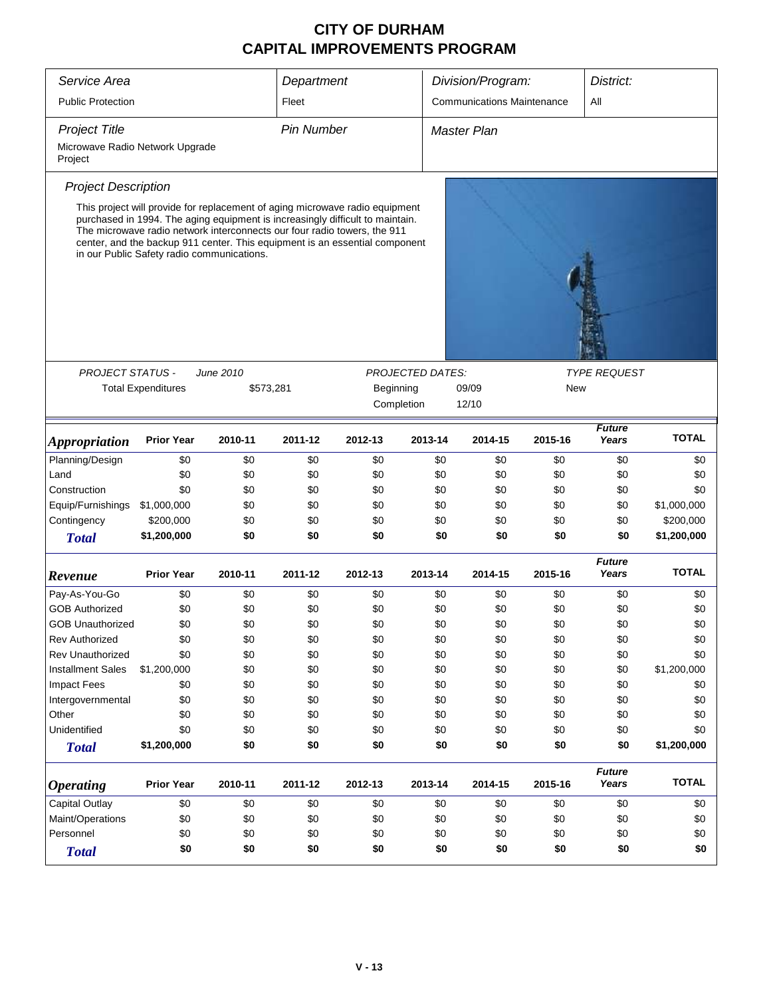| Service Area                               |                                                                                                                                                                                                                                                                                                                                                                        |           |           | Department |                         |                                          | Division/Program: |                        | District:    |  |  |  |
|--------------------------------------------|------------------------------------------------------------------------------------------------------------------------------------------------------------------------------------------------------------------------------------------------------------------------------------------------------------------------------------------------------------------------|-----------|-----------|------------|-------------------------|------------------------------------------|-------------------|------------------------|--------------|--|--|--|
| <b>Public Protection</b><br>Fleet          |                                                                                                                                                                                                                                                                                                                                                                        |           |           |            |                         | <b>Communications Maintenance</b><br>All |                   |                        |              |  |  |  |
| <b>Project Title</b><br><b>Pin Number</b>  |                                                                                                                                                                                                                                                                                                                                                                        |           |           |            |                         |                                          | Master Plan       |                        |              |  |  |  |
| Microwave Radio Network Upgrade<br>Project |                                                                                                                                                                                                                                                                                                                                                                        |           |           |            |                         |                                          |                   |                        |              |  |  |  |
| <b>Project Description</b>                 |                                                                                                                                                                                                                                                                                                                                                                        |           |           |            |                         |                                          |                   |                        |              |  |  |  |
|                                            | This project will provide for replacement of aging microwave radio equipment<br>purchased in 1994. The aging equipment is increasingly difficult to maintain.<br>The microwave radio network interconnects our four radio towers, the 911<br>center, and the backup 911 center. This equipment is an essential component<br>in our Public Safety radio communications. |           |           |            |                         |                                          |                   |                        |              |  |  |  |
|                                            |                                                                                                                                                                                                                                                                                                                                                                        |           |           |            |                         |                                          |                   |                        |              |  |  |  |
| <b>PROJECT STATUS -</b>                    |                                                                                                                                                                                                                                                                                                                                                                        | June 2010 |           |            | <b>PROJECTED DATES:</b> |                                          |                   | <b>TYPE REQUEST</b>    |              |  |  |  |
|                                            | <b>Total Expenditures</b>                                                                                                                                                                                                                                                                                                                                              |           | \$573,281 | Beginning  |                         | 09/09                                    |                   | New                    |              |  |  |  |
|                                            |                                                                                                                                                                                                                                                                                                                                                                        |           |           |            | Completion              | 12/10                                    |                   |                        |              |  |  |  |
| <i><b>Appropriation</b></i>                | <b>Prior Year</b>                                                                                                                                                                                                                                                                                                                                                      | 2010-11   | 2011-12   | 2012-13    | 2013-14                 | 2014-15                                  | 2015-16           | <b>Future</b><br>Years | <b>TOTAL</b> |  |  |  |
| Planning/Design                            | \$0                                                                                                                                                                                                                                                                                                                                                                    | \$0       | \$0       | \$0        | \$0                     |                                          | \$0<br>\$0        | \$0                    | \$0          |  |  |  |
| Land                                       | \$0                                                                                                                                                                                                                                                                                                                                                                    | \$0       | \$0       | \$0        | \$0                     |                                          | \$0<br>\$0        | \$0                    | \$0          |  |  |  |
| Construction                               | \$0                                                                                                                                                                                                                                                                                                                                                                    | \$0       | \$0       | \$0        | \$0                     |                                          | \$0<br>\$0        | \$0                    | \$0          |  |  |  |
| Equip/Furnishings                          | \$1,000,000                                                                                                                                                                                                                                                                                                                                                            | \$0       | \$0       | \$0        | \$0                     |                                          | \$0<br>\$0        | \$0                    | \$1,000,000  |  |  |  |
| Contingency                                | \$200,000                                                                                                                                                                                                                                                                                                                                                              | \$0       | \$0       | \$0        | \$0                     |                                          | \$0<br>\$0        | \$0                    | \$200,000    |  |  |  |
| <b>Total</b>                               | \$1,200,000                                                                                                                                                                                                                                                                                                                                                            | \$0       | \$0       | \$0        |                         | \$0                                      | \$0<br>\$0        | \$0                    | \$1,200,000  |  |  |  |
| Revenue                                    | <b>Prior Year</b>                                                                                                                                                                                                                                                                                                                                                      | 2010-11   | 2011-12   | 2012-13    | 2013-14                 | 2014-15                                  | 2015-16           | <b>Future</b><br>Years | <b>TOTAL</b> |  |  |  |
| Pay-As-You-Go                              | \$0                                                                                                                                                                                                                                                                                                                                                                    | \$0       | \$0       | \$0        | \$0                     |                                          | \$0<br>\$0        | \$0                    | \$0          |  |  |  |
| <b>GOB Authorized</b>                      | \$0                                                                                                                                                                                                                                                                                                                                                                    | \$0       | \$0       | \$0        | \$0                     |                                          | \$0<br>\$0        | \$0                    | \$0          |  |  |  |
| GOB Unauthorized                           | \$0                                                                                                                                                                                                                                                                                                                                                                    | \$0       | \$0       | \$0        | \$0                     |                                          | \$0<br>\$0        | \$0                    | \$0          |  |  |  |
| Rev Authorized                             | \$0                                                                                                                                                                                                                                                                                                                                                                    | \$0       | \$0       | \$0        | \$0                     |                                          | \$0<br>\$0        | \$0                    | \$0          |  |  |  |
| <b>Rev Unauthorized</b>                    | \$0                                                                                                                                                                                                                                                                                                                                                                    | \$0       | \$0       | \$0        | \$0                     |                                          | \$0<br>\$0        | \$0                    | \$0          |  |  |  |
| <b>Installment Sales</b>                   | \$1,200,000                                                                                                                                                                                                                                                                                                                                                            | \$0       | \$0       | \$0        | \$0                     |                                          | \$0<br>\$0        | \$0                    | \$1,200,000  |  |  |  |
| <b>Impact Fees</b>                         | \$0                                                                                                                                                                                                                                                                                                                                                                    | \$0       | \$0       | \$0        | \$0                     |                                          | \$0<br>\$0        | \$0                    | \$0          |  |  |  |
| Intergovernmental                          | \$0                                                                                                                                                                                                                                                                                                                                                                    | \$0       | \$0       | \$0        | \$0                     |                                          | \$0<br>\$0        | \$0                    | \$0          |  |  |  |
| Other                                      | \$0                                                                                                                                                                                                                                                                                                                                                                    | \$0       | \$0       | \$0        | \$0                     |                                          | \$0<br>\$0        | \$0                    | \$0          |  |  |  |
| Unidentified                               | \$0                                                                                                                                                                                                                                                                                                                                                                    | \$0       | \$0       | \$0        | \$0                     |                                          | \$0<br>\$0        | \$0                    | \$0          |  |  |  |
| <b>Total</b>                               | \$1,200,000                                                                                                                                                                                                                                                                                                                                                            | \$0       | \$0       | \$0        |                         | \$0                                      | \$0<br>\$0        | \$0                    | \$1,200,000  |  |  |  |
| <b>Operating</b>                           | <b>Prior Year</b>                                                                                                                                                                                                                                                                                                                                                      | 2010-11   | 2011-12   | 2012-13    | 2013-14                 | 2014-15                                  | 2015-16           | <b>Future</b><br>Years | <b>TOTAL</b> |  |  |  |
| Capital Outlay                             | \$0                                                                                                                                                                                                                                                                                                                                                                    | \$0       | \$0       | \$0        | \$0                     |                                          | \$0<br>\$0        | \$0                    | \$0          |  |  |  |
| Maint/Operations                           | \$0                                                                                                                                                                                                                                                                                                                                                                    | \$0       | \$0       | \$0        | \$0                     |                                          | \$0<br>\$0        | \$0                    | \$0          |  |  |  |
| Personnel                                  | \$0                                                                                                                                                                                                                                                                                                                                                                    | \$0       | \$0       | \$0        | \$0                     |                                          | \$0<br>\$0        | \$0                    | \$0          |  |  |  |
| <b>Total</b>                               | \$0                                                                                                                                                                                                                                                                                                                                                                    | \$0       | \$0       | \$0        |                         | \$0                                      | \$0<br>\$0        | \$0                    | \$0          |  |  |  |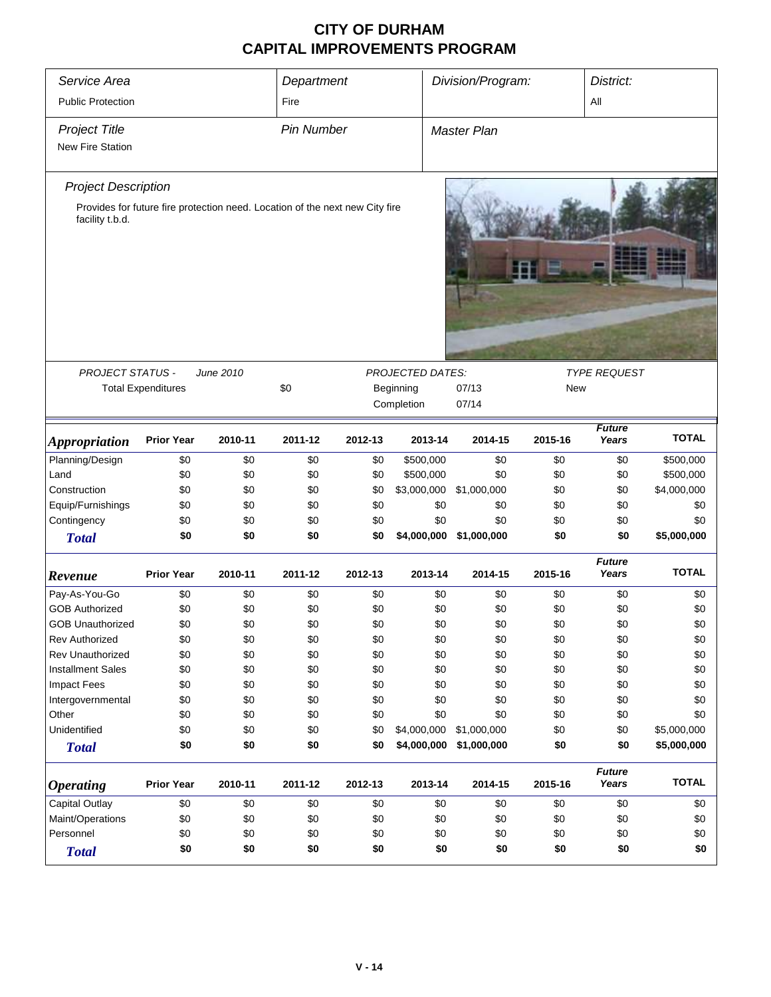| Service Area<br>Department  |                                                                              |           |                   |         |                                      | Division/Program:            |         | District:              |              |  |  |  |
|-----------------------------|------------------------------------------------------------------------------|-----------|-------------------|---------|--------------------------------------|------------------------------|---------|------------------------|--------------|--|--|--|
| <b>Public Protection</b>    | Fire                                                                         |           |                   | All     |                                      |                              |         |                        |              |  |  |  |
|                             |                                                                              |           |                   |         |                                      |                              |         |                        |              |  |  |  |
| <b>Project Title</b>        |                                                                              |           | <b>Pin Number</b> |         |                                      | <b>Master Plan</b>           |         |                        |              |  |  |  |
| <b>New Fire Station</b>     |                                                                              |           |                   |         |                                      |                              |         |                        |              |  |  |  |
| <b>Project Description</b>  |                                                                              |           |                   |         |                                      |                              |         |                        |              |  |  |  |
|                             | Provides for future fire protection need. Location of the next new City fire |           |                   |         |                                      |                              |         |                        |              |  |  |  |
| facility t.b.d.             |                                                                              |           |                   |         |                                      |                              |         |                        |              |  |  |  |
|                             |                                                                              |           |                   |         |                                      |                              |         |                        |              |  |  |  |
| <b>PROJECT STATUS -</b>     |                                                                              | June 2010 | \$0               |         | <b>PROJECTED DATES:</b><br>Beginning |                              |         | <b>TYPE REQUEST</b>    |              |  |  |  |
|                             | <b>Total Expenditures</b>                                                    |           |                   |         | Completion                           | 07/13<br><b>New</b><br>07/14 |         |                        |              |  |  |  |
|                             |                                                                              |           |                   |         |                                      |                              |         |                        |              |  |  |  |
| <i><b>Appropriation</b></i> | <b>Prior Year</b>                                                            | 2010-11   | 2011-12           | 2012-13 | 2013-14                              | 2014-15                      | 2015-16 | <b>Future</b><br>Years | <b>TOTAL</b> |  |  |  |
| Planning/Design             | \$0                                                                          | \$0       | \$0               | \$0     | \$500,000                            | \$0                          | \$0     | \$0                    | \$500,000    |  |  |  |
| Land                        | \$0                                                                          | \$0       | \$0               | \$0     | \$500,000                            | \$0                          | \$0     | \$0                    | \$500,000    |  |  |  |
| Construction                | \$0                                                                          | \$0       | \$0               | \$0     | \$3,000,000                          | \$1,000,000                  | \$0     | \$0                    | \$4,000,000  |  |  |  |
| Equip/Furnishings           | \$0                                                                          | \$0       | \$0               | \$0     | \$0                                  | \$0                          | \$0     | \$0                    | \$0          |  |  |  |
| Contingency                 | \$0                                                                          | \$0       | \$0               | \$0     | \$0                                  | \$0                          | \$0     | \$0                    | \$0          |  |  |  |
| <b>Total</b>                | \$0                                                                          | \$0       | \$0               | \$0     | \$4,000,000                          | \$1,000,000                  | \$0     | \$0                    | \$5,000,000  |  |  |  |
| Revenue                     | <b>Prior Year</b>                                                            | 2010-11   | 2011-12           | 2012-13 | 2013-14                              | 2014-15                      | 2015-16 | <b>Future</b><br>Years | <b>TOTAL</b> |  |  |  |
| Pay-As-You-Go               | \$0                                                                          | \$0       | \$0               | \$0     | \$0                                  | \$0                          | \$0     | \$0                    | \$0          |  |  |  |
| <b>GOB Authorized</b>       | \$0                                                                          | \$0       | \$0               | \$0     | \$0                                  | \$0                          | \$0     | \$0                    | \$0          |  |  |  |
| <b>GOB Unauthorized</b>     | \$0                                                                          | \$0       | \$0               | \$0     | \$0                                  | \$0                          | \$0     | \$0                    | \$0          |  |  |  |
| <b>Rev Authorized</b>       | \$0                                                                          | \$0       | \$0               | \$0     | \$0                                  | \$0                          | \$0     | \$0                    | \$0          |  |  |  |
| Rev Unauthorized            | \$0                                                                          | \$0       | \$0               | \$0     | \$0                                  | \$0                          | \$0     | \$0                    | \$0          |  |  |  |
| <b>Installment Sales</b>    | \$0                                                                          | \$0       | \$0               | \$0     | \$0                                  | \$0                          | \$0     | \$0                    | \$0          |  |  |  |
| <b>Impact Fees</b>          | \$0                                                                          | \$0       | \$0               | \$0     | \$0                                  | \$0                          | \$0     | \$0                    | \$0          |  |  |  |
| Intergovernmental           | \$0                                                                          | \$0       | \$0               | \$0     | \$0                                  | \$0                          | \$0     | \$0                    | \$0          |  |  |  |
| Other                       | \$0                                                                          | \$0       | \$0               | \$0     | \$0                                  | \$0                          | \$0     | \$0                    | \$0          |  |  |  |
| Unidentified                | \$0                                                                          | \$0       | \$0               | \$0     | \$4,000,000                          | \$1,000,000                  | \$0     | \$0                    | \$5,000,000  |  |  |  |
| <b>Total</b>                | \$0                                                                          | \$0       | \$0               | \$0     | \$4,000,000                          | \$1,000,000                  | \$0     | \$0                    | \$5,000,000  |  |  |  |
| <b>Operating</b>            | <b>Prior Year</b>                                                            | 2010-11   | 2011-12           | 2012-13 | 2013-14                              | 2014-15                      | 2015-16 | <b>Future</b><br>Years | <b>TOTAL</b> |  |  |  |
| Capital Outlay              | \$0                                                                          | \$0       | \$0               | \$0     | \$0                                  | \$0                          | \$0     | \$0                    | \$0          |  |  |  |
| Maint/Operations            | \$0                                                                          | \$0       | \$0               | \$0     | \$0                                  | \$0                          | \$0     | \$0                    | \$0          |  |  |  |
| Personnel                   | \$0                                                                          | \$0       | \$0               | \$0     | \$0                                  | \$0                          | \$0     | \$0                    | \$0          |  |  |  |
| <b>Total</b>                | \$0                                                                          | \$0       | \$0               | \$0     | \$0                                  | \$0                          | \$0     | \$0                    | \$0          |  |  |  |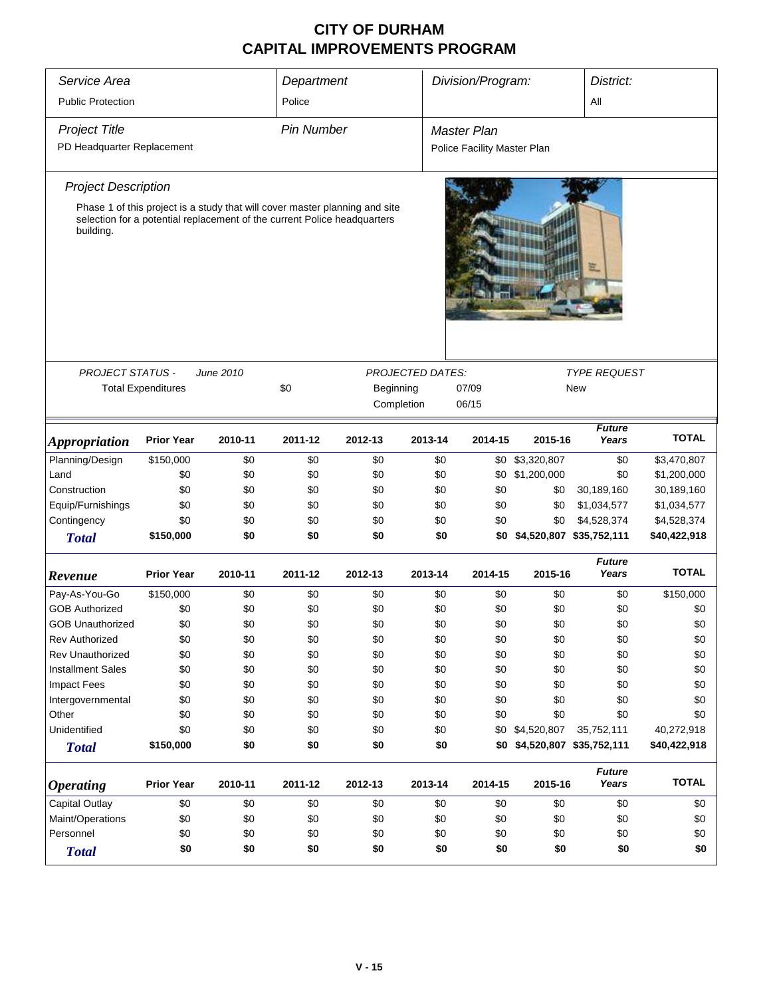| Service Area                                                                                                                                                         | Department<br>Police      |           |         | Division/Program: |                         | District:                   |                 |                          |              |  |  |  |
|----------------------------------------------------------------------------------------------------------------------------------------------------------------------|---------------------------|-----------|---------|-------------------|-------------------------|-----------------------------|-----------------|--------------------------|--------------|--|--|--|
| <b>Public Protection</b>                                                                                                                                             |                           |           |         |                   | All                     |                             |                 |                          |              |  |  |  |
| <b>Project Title</b><br><b>Pin Number</b>                                                                                                                            |                           |           |         |                   |                         | <b>Master Plan</b>          |                 |                          |              |  |  |  |
| PD Headquarter Replacement                                                                                                                                           |                           |           |         |                   |                         | Police Facility Master Plan |                 |                          |              |  |  |  |
| <b>Project Description</b>                                                                                                                                           |                           |           |         |                   |                         |                             |                 |                          |              |  |  |  |
| Phase 1 of this project is a study that will cover master planning and site<br>selection for a potential replacement of the current Police headquarters<br>building. |                           |           |         |                   |                         |                             |                 |                          |              |  |  |  |
| <b>PROJECT STATUS -</b>                                                                                                                                              |                           | June 2010 |         |                   | <b>PROJECTED DATES:</b> |                             |                 | <b>TYPE REQUEST</b>      |              |  |  |  |
|                                                                                                                                                                      | <b>Total Expenditures</b> |           | \$0     | Beginning         |                         | 07/09                       | <b>New</b>      |                          |              |  |  |  |
|                                                                                                                                                                      |                           |           |         | Completion        |                         | 06/15                       |                 |                          |              |  |  |  |
| <i><b>Appropriation</b></i>                                                                                                                                          | <b>Prior Year</b>         | 2010-11   | 2011-12 | 2012-13           | 2013-14                 | 2014-15                     | 2015-16         | <b>Future</b><br>Years   | <b>TOTAL</b> |  |  |  |
| Planning/Design                                                                                                                                                      | \$150,000                 | \$0       | \$0     | \$0               | \$0                     |                             | \$0 \$3,320,807 | \$0                      | \$3,470,807  |  |  |  |
| Land                                                                                                                                                                 | \$0                       | \$0       | \$0     | \$0               | \$0                     | \$0                         | \$1,200,000     | \$0                      | \$1,200,000  |  |  |  |
| Construction                                                                                                                                                         | \$0                       | \$0       | \$0     | \$0               | \$0                     | \$0                         | \$0             | 30,189,160               | 30,189,160   |  |  |  |
| Equip/Furnishings                                                                                                                                                    | \$0                       | \$0       | \$0     | \$0               | \$0                     | \$0                         | \$0             | \$1,034,577              | \$1,034,577  |  |  |  |
| Contingency                                                                                                                                                          | \$0                       | \$0       | \$0     | \$0               | \$0                     | \$0                         | \$0             | \$4,528,374              | \$4,528,374  |  |  |  |
| <b>Total</b>                                                                                                                                                         | \$150,000                 | \$0       | \$0     | \$0               | \$0                     | \$0                         |                 | \$4,520,807 \$35,752,111 | \$40,422,918 |  |  |  |
|                                                                                                                                                                      |                           |           |         |                   |                         |                             |                 | <b>Future</b>            | <b>TOTAL</b> |  |  |  |
| Revenue                                                                                                                                                              | <b>Prior Year</b>         | 2010-11   | 2011-12 | 2012-13           | 2013-14                 | 2014-15                     | 2015-16         | Years                    |              |  |  |  |
| Pay-As-You-Go                                                                                                                                                        | \$150,000                 | \$0       | \$0     | \$0               | \$0                     | \$0                         | \$0             | \$0                      | \$150,000    |  |  |  |
| <b>GOB Authorized</b>                                                                                                                                                | \$0                       | \$0       | \$0     | \$0               | \$0                     | \$0                         | \$0             | \$0                      | \$0          |  |  |  |
| <b>GOB Unauthorized</b>                                                                                                                                              | \$0                       | \$0       | \$0     | \$0               | \$0                     | \$0                         | \$0             | \$0                      | \$0          |  |  |  |
| <b>Rev Authorized</b>                                                                                                                                                | \$0                       | \$0       | \$0     | \$0               | \$0                     | \$0                         | \$0             | \$0                      | \$0          |  |  |  |
| <b>Rev Unauthorized</b>                                                                                                                                              | \$0                       | \$0       | \$0     | \$0               | \$0                     | \$0                         | \$0             | \$0                      | \$0          |  |  |  |
| <b>Installment Sales</b>                                                                                                                                             | \$0                       | \$0       | \$0     | \$0               | \$0                     | \$0                         | \$0             | \$0                      | \$0          |  |  |  |
| <b>Impact Fees</b>                                                                                                                                                   | \$0                       | \$0       | \$0     | \$0               | \$0                     | \$0                         | \$0             | \$0                      | \$0          |  |  |  |
| Intergovernmental                                                                                                                                                    | \$0                       | \$0       | \$0     | \$0               | \$0                     | \$0                         | \$0             | \$0                      | \$0          |  |  |  |
| Other                                                                                                                                                                | \$0                       | \$0       | \$0     | \$0               | \$0                     | \$0                         | \$0             | \$0                      | \$0          |  |  |  |
| Unidentified                                                                                                                                                         | \$0                       | \$0       | \$0     | \$0               | \$0                     |                             | \$0 \$4,520,807 | 35,752,111               | 40,272,918   |  |  |  |
| <b>Total</b>                                                                                                                                                         | \$150,000                 | \$0       | \$0     | \$0               | \$0                     | \$0                         |                 | \$4,520,807 \$35,752,111 | \$40,422,918 |  |  |  |
| <i><b>Operating</b></i>                                                                                                                                              | <b>Prior Year</b>         | 2010-11   | 2011-12 | 2012-13           | 2013-14                 | 2014-15                     | 2015-16         | <b>Future</b><br>Years   | <b>TOTAL</b> |  |  |  |
| Capital Outlay                                                                                                                                                       | \$0                       | \$0       | \$0     | \$0               | \$0                     | \$0                         | \$0             | \$0                      | \$0          |  |  |  |
| Maint/Operations                                                                                                                                                     | \$0                       | \$0       | \$0     | \$0               | \$0                     | \$0                         | \$0             | \$0                      | \$0          |  |  |  |
| Personnel                                                                                                                                                            | \$0                       | \$0       | \$0     | \$0               | \$0                     | \$0                         | \$0             | \$0                      | \$0          |  |  |  |
| <b>Total</b>                                                                                                                                                         | \$0<br>\$0<br>\$0<br>\$0  |           |         |                   |                         | \$0                         | \$0             | \$0                      | \$0          |  |  |  |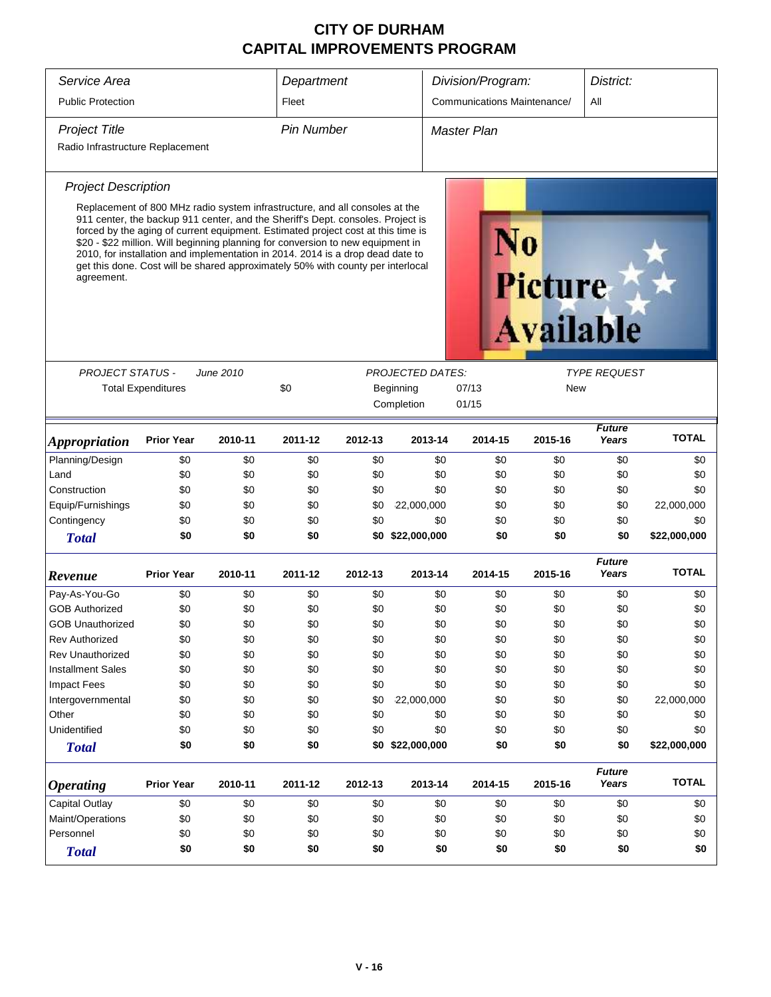| Service Area                     | Department                                                                                                                                                                                                                                                                                                                                                                                                                                                                                                 |                   |         |                    | Division/Program:           |                              | District: |                                    |                        |              |  |
|----------------------------------|------------------------------------------------------------------------------------------------------------------------------------------------------------------------------------------------------------------------------------------------------------------------------------------------------------------------------------------------------------------------------------------------------------------------------------------------------------------------------------------------------------|-------------------|---------|--------------------|-----------------------------|------------------------------|-----------|------------------------------------|------------------------|--------------|--|
| <b>Public Protection</b>         | Fleet                                                                                                                                                                                                                                                                                                                                                                                                                                                                                                      |                   |         |                    | Communications Maintenance/ | All                          |           |                                    |                        |              |  |
| <b>Project Title</b>             |                                                                                                                                                                                                                                                                                                                                                                                                                                                                                                            | <b>Pin Number</b> |         | <b>Master Plan</b> |                             |                              |           |                                    |                        |              |  |
| Radio Infrastructure Replacement |                                                                                                                                                                                                                                                                                                                                                                                                                                                                                                            |                   |         |                    |                             |                              |           |                                    |                        |              |  |
| <b>Project Description</b>       |                                                                                                                                                                                                                                                                                                                                                                                                                                                                                                            |                   |         |                    |                             |                              |           |                                    |                        |              |  |
| agreement.                       | Replacement of 800 MHz radio system infrastructure, and all consoles at the<br>911 center, the backup 911 center, and the Sheriff's Dept. consoles. Project is<br>forced by the aging of current equipment. Estimated project cost at this time is<br>\$20 - \$22 million. Will beginning planning for conversion to new equipment in<br>2010, for installation and implementation in 2014. 2014 is a drop dead date to<br>get this done. Cost will be shared approximately 50% with county per interlocal |                   |         |                    |                             |                              |           | <b>Picture</b><br><b>Available</b> |                        |              |  |
|                                  |                                                                                                                                                                                                                                                                                                                                                                                                                                                                                                            |                   |         |                    |                             |                              |           |                                    |                        |              |  |
| <b>PROJECT STATUS -</b>          | <b>Total Expenditures</b>                                                                                                                                                                                                                                                                                                                                                                                                                                                                                  | June 2010         | \$0     |                    | <b>PROJECTED DATES:</b>     |                              |           |                                    | <b>TYPE REQUEST</b>    |              |  |
|                                  |                                                                                                                                                                                                                                                                                                                                                                                                                                                                                                            |                   |         |                    | Beginning<br>Completion     | 07/13<br><b>New</b><br>01/15 |           |                                    |                        |              |  |
|                                  |                                                                                                                                                                                                                                                                                                                                                                                                                                                                                                            |                   |         |                    |                             |                              |           |                                    |                        |              |  |
| <i><b>Appropriation</b></i>      | <b>Prior Year</b>                                                                                                                                                                                                                                                                                                                                                                                                                                                                                          | 2010-11           | 2011-12 | 2012-13            | 2013-14                     |                              | 2014-15   | 2015-16                            | <b>Future</b><br>Years | <b>TOTAL</b> |  |
| Planning/Design                  | \$0                                                                                                                                                                                                                                                                                                                                                                                                                                                                                                        | \$0               | \$0     | \$0                |                             | \$0                          | \$0       | \$0                                | \$0                    | \$0          |  |
| Land                             | \$0                                                                                                                                                                                                                                                                                                                                                                                                                                                                                                        | \$0               | \$0     | \$0                |                             | \$0                          | \$0       | \$0                                | \$0                    | \$0          |  |
| Construction                     | \$0                                                                                                                                                                                                                                                                                                                                                                                                                                                                                                        | \$0               | \$0     | \$0                |                             | \$0                          | \$0       | \$0                                | \$0                    | \$0          |  |
| Equip/Furnishings                | \$0                                                                                                                                                                                                                                                                                                                                                                                                                                                                                                        | \$0               | \$0     | \$0                | 22,000,000                  |                              | \$0       | \$0                                | \$0                    | 22,000,000   |  |
| Contingency                      | \$0                                                                                                                                                                                                                                                                                                                                                                                                                                                                                                        | \$0               | \$0     | \$0                |                             | \$0                          | \$0       | \$0                                | \$0                    | \$0          |  |
| <b>Total</b>                     | \$0                                                                                                                                                                                                                                                                                                                                                                                                                                                                                                        | \$0               | \$0     |                    | \$0 \$22,000,000            |                              | \$0       | \$0                                | \$0                    | \$22,000,000 |  |
| Revenue                          | <b>Prior Year</b>                                                                                                                                                                                                                                                                                                                                                                                                                                                                                          | 2010-11           | 2011-12 | 2012-13            | 2013-14                     |                              | 2014-15   | 2015-16                            | <b>Future</b><br>Years | <b>TOTAL</b> |  |
| Pay-As-You-Go                    | \$0                                                                                                                                                                                                                                                                                                                                                                                                                                                                                                        | \$0               | \$0     | \$0                |                             | \$0                          | \$0       | \$0                                | \$0                    | \$0          |  |
| <b>GOB Authorized</b>            | \$0                                                                                                                                                                                                                                                                                                                                                                                                                                                                                                        | \$0               | \$0     | \$0                |                             | \$0                          | \$0       | \$0                                | \$0                    | \$0          |  |
| GOB Unauthorized                 | \$0                                                                                                                                                                                                                                                                                                                                                                                                                                                                                                        | \$0               | \$0     | \$0                |                             | \$0                          | \$0       | \$0                                | \$0                    | \$0          |  |
| Rev Authorized                   | \$0                                                                                                                                                                                                                                                                                                                                                                                                                                                                                                        | \$0               | \$0     | \$0                |                             | \$0                          | \$0       | \$0                                | \$0                    | \$0          |  |
| Rev Unauthorized                 | \$0                                                                                                                                                                                                                                                                                                                                                                                                                                                                                                        | \$0               | \$0     | \$0                |                             | \$0                          | \$0       | \$0                                | \$0                    | \$0          |  |
| <b>Installment Sales</b>         | \$0                                                                                                                                                                                                                                                                                                                                                                                                                                                                                                        | \$0               | \$0     | \$0                |                             | \$0                          | \$0       | \$0                                | \$0                    | \$0          |  |
| <b>Impact Fees</b>               | \$0                                                                                                                                                                                                                                                                                                                                                                                                                                                                                                        | \$0               | \$0     | \$0                |                             | \$0                          | \$0       | \$0                                | \$0                    | \$0          |  |
| Intergovernmental                | \$0                                                                                                                                                                                                                                                                                                                                                                                                                                                                                                        | \$0               | \$0     | \$0                | 22,000,000                  |                              | \$0       | \$0                                | \$0                    | 22,000,000   |  |
| Other                            | \$0                                                                                                                                                                                                                                                                                                                                                                                                                                                                                                        | \$0               | \$0     | \$0                |                             | \$0                          | \$0       | \$0                                | \$0                    | \$0          |  |
| Unidentified                     | \$0                                                                                                                                                                                                                                                                                                                                                                                                                                                                                                        | \$0               | \$0     | \$0                |                             | \$0                          | \$0       | \$0                                | \$0                    | \$0          |  |
| <b>Total</b>                     | \$0                                                                                                                                                                                                                                                                                                                                                                                                                                                                                                        | \$0               | \$0     |                    | \$0 \$22,000,000            |                              | \$0       | \$0                                | \$0                    | \$22,000,000 |  |
| <b>Operating</b>                 | <b>Prior Year</b>                                                                                                                                                                                                                                                                                                                                                                                                                                                                                          | 2010-11           | 2011-12 | 2012-13            | 2013-14                     |                              | 2014-15   | 2015-16                            | <b>Future</b><br>Years | <b>TOTAL</b> |  |
| Capital Outlay                   | \$0                                                                                                                                                                                                                                                                                                                                                                                                                                                                                                        | \$0               | \$0     | \$0                |                             | \$0                          | \$0       | \$0                                | \$0                    | \$0          |  |
| Maint/Operations                 | \$0                                                                                                                                                                                                                                                                                                                                                                                                                                                                                                        | \$0               | \$0     | \$0                |                             | \$0                          | \$0       | \$0                                | \$0                    | \$0          |  |
| Personnel                        | \$0                                                                                                                                                                                                                                                                                                                                                                                                                                                                                                        | \$0               | \$0     | \$0                |                             | \$0                          | \$0       | \$0                                | \$0                    | \$0          |  |
| <b>Total</b>                     | \$0                                                                                                                                                                                                                                                                                                                                                                                                                                                                                                        | \$0               | \$0     | \$0                |                             | \$0                          | \$0       | \$0                                | \$0                    | \$0          |  |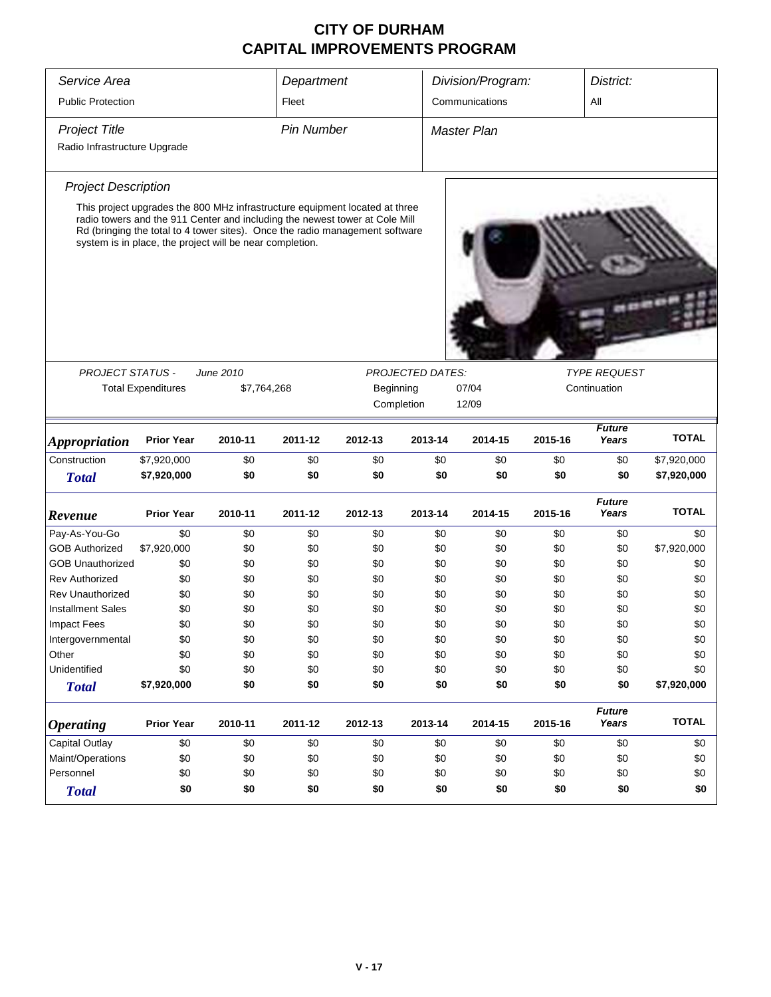| Service Area                                         | Department                |                                                                                                                                                                                                                                                                                                        |            |            | Division/Program:       | District:             |            |                        |              |  |
|------------------------------------------------------|---------------------------|--------------------------------------------------------------------------------------------------------------------------------------------------------------------------------------------------------------------------------------------------------------------------------------------------------|------------|------------|-------------------------|-----------------------|------------|------------------------|--------------|--|
| <b>Public Protection</b>                             | Fleet                     |                                                                                                                                                                                                                                                                                                        |            |            |                         | Communications<br>All |            |                        |              |  |
| <b>Project Title</b><br>Radio Infrastructure Upgrade |                           | Master Plan                                                                                                                                                                                                                                                                                            |            |            |                         |                       |            |                        |              |  |
| <b>Project Description</b>                           |                           | This project upgrades the 800 MHz infrastructure equipment located at three<br>radio towers and the 911 Center and including the newest tower at Cole Mill<br>Rd (bringing the total to 4 tower sites). Once the radio management software<br>system is in place, the project will be near completion. |            |            |                         |                       |            |                        |              |  |
| <b>PROJECT STATUS -</b>                              |                           | June 2010                                                                                                                                                                                                                                                                                              |            |            | <b>PROJECTED DATES:</b> |                       |            | <b>TYPE REQUEST</b>    |              |  |
|                                                      | <b>Total Expenditures</b> | \$7,764,268                                                                                                                                                                                                                                                                                            |            | Beginning  |                         | 07/04                 |            | Continuation           |              |  |
|                                                      |                           |                                                                                                                                                                                                                                                                                                        |            |            | Completion              | 12/09                 |            |                        |              |  |
| <b>Appropriation</b>                                 | <b>Prior Year</b>         | 2010-11                                                                                                                                                                                                                                                                                                | 2011-12    | 2012-13    | 2013-14                 | 2014-15               | 2015-16    | <b>Future</b><br>Years | <b>TOTAL</b> |  |
| Construction                                         | \$7,920,000               | \$0                                                                                                                                                                                                                                                                                                    | \$0        | \$0        | \$0                     | \$0                   | \$0        | \$0                    | \$7,920,000  |  |
| <b>Total</b>                                         | \$7,920,000               | \$0                                                                                                                                                                                                                                                                                                    | \$0        | \$0        | \$0                     | \$0                   | \$0        | \$0                    | \$7,920,000  |  |
| Revenue                                              | <b>Prior Year</b>         | 2010-11                                                                                                                                                                                                                                                                                                | 2011-12    | 2012-13    | 2013-14                 | 2014-15               | 2015-16    | <b>Future</b><br>Years | <b>TOTAL</b> |  |
| Pay-As-You-Go                                        | \$0                       | \$0                                                                                                                                                                                                                                                                                                    | \$0        | \$0        | \$0                     | \$0                   | \$0        | \$0                    | \$0          |  |
| <b>GOB Authorized</b>                                | \$7,920,000               | \$0                                                                                                                                                                                                                                                                                                    | \$0        | \$0        | \$0                     | \$0                   | \$0        | \$0                    | \$7,920,000  |  |
| <b>GOB Unauthorized</b>                              | \$0                       | \$0                                                                                                                                                                                                                                                                                                    | \$0        | \$0        | \$0                     | \$0                   | \$0        | \$0                    | \$0          |  |
| <b>Rev Authorized</b>                                | \$0                       | \$0                                                                                                                                                                                                                                                                                                    | \$0        | \$0        | \$0                     | \$0                   | \$0        | \$0                    | \$0          |  |
| <b>Rev Unauthorized</b>                              | \$0                       | \$0                                                                                                                                                                                                                                                                                                    | \$0        | \$0        | \$0                     | \$0                   | \$0        | \$0                    | \$0          |  |
| <b>Installment Sales</b>                             | \$0                       | \$0                                                                                                                                                                                                                                                                                                    | \$0        | \$0        | \$0                     | \$0                   | \$0        | \$0                    | \$0          |  |
| Impact Fees<br>Intergovernmental                     | \$0<br>\$0                | \$0<br>\$0                                                                                                                                                                                                                                                                                             | \$0<br>\$0 | \$0<br>\$0 | \$0<br>\$0              | \$0<br>\$0            | \$0<br>\$0 | \$0<br>\$0             | \$0<br>\$0   |  |
| Other                                                | \$0                       | \$0                                                                                                                                                                                                                                                                                                    | \$0        | \$0        | \$0                     | \$0                   | \$0        | \$0                    | \$0          |  |
| Unidentified                                         | \$0                       | \$0                                                                                                                                                                                                                                                                                                    | \$0        | \$0        | \$0                     | \$0                   | \$0        | \$0                    | \$0          |  |
| <b>Total</b>                                         | \$7,920,000               | \$0                                                                                                                                                                                                                                                                                                    | \$0        | \$0        | \$0                     | \$0                   | \$0        | \$0                    | \$7,920,000  |  |
|                                                      |                           |                                                                                                                                                                                                                                                                                                        |            |            |                         |                       |            | <b>Future</b>          |              |  |
| <i><b>Operating</b></i>                              | <b>Prior Year</b>         | 2010-11                                                                                                                                                                                                                                                                                                | 2011-12    | 2012-13    | 2013-14                 | 2014-15               | 2015-16    | Years                  | <b>TOTAL</b> |  |
| <b>Capital Outlay</b>                                | \$0                       | \$0                                                                                                                                                                                                                                                                                                    | \$0        | \$0        | \$0                     | \$0                   | \$0        | \$0                    | \$0          |  |
| Maint/Operations                                     | \$0                       | \$0                                                                                                                                                                                                                                                                                                    | \$0        | \$0        | \$0                     | \$0                   | \$0        | \$0                    | \$0          |  |
| Personnel                                            | \$0                       | \$0                                                                                                                                                                                                                                                                                                    | \$0        | \$0        | \$0                     | \$0                   | \$0        | \$0                    | \$0          |  |
| <b>Total</b>                                         | \$0                       | \$0                                                                                                                                                                                                                                                                                                    | \$0        | \$0        | \$0                     | \$0                   | \$0        | \$0                    | \$0          |  |